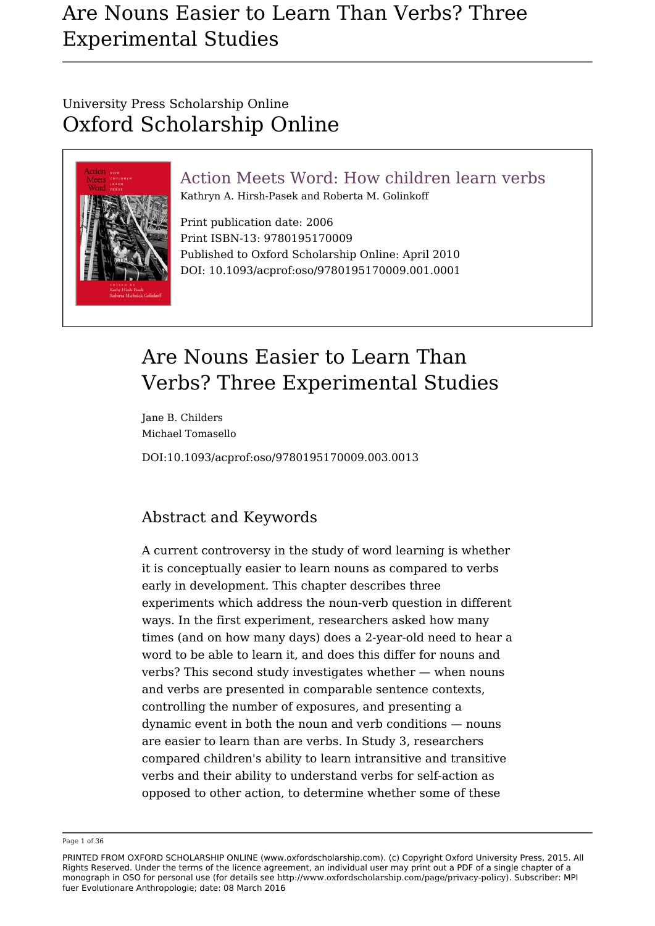### University Press Scholarship Online Oxford Scholarship Online



Action Meets Word: How children learn verbs Kathryn A. Hirsh-Pasek and Roberta M. Golinkoff

Print publication date: 2006 Print ISBN-13: 9780195170009 Published to Oxford Scholarship Online: April 2010 DOI: 10.1093/acprof:oso/9780195170009.001.0001

# Are Nouns Easier to Learn Than Verbs? Three Experimental Studies

Jane B. Childers Michael Tomasello

DOI:10.1093/acprof:oso/9780195170009.003.0013

### Abstract and Keywords

A current controversy in the study of word learning is whether it is conceptually easier to learn nouns as compared to verbs early in development. This chapter describes three experiments which address the noun-verb question in different ways. In the first experiment, researchers asked how many times (and on how many days) does a 2-year-old need to hear a word to be able to learn it, and does this differ for nouns and verbs? This second study investigates whether — when nouns and verbs are presented in comparable sentence contexts, controlling the number of exposures, and presenting a dynamic event in both the noun and verb conditions — nouns are easier to learn than are verbs. In Study 3, researchers compared children's ability to learn intransitive and transitive verbs and their ability to understand verbs for self-action as opposed to other action, to determine whether some of these

Page 1 of 36

PRINTED FROM OXFORD SCHOLARSHIP ONLINE (www.oxfordscholarship.com). (c) Copyright Oxford University Press, 2015. All Rights Reserved. Under the terms of the licence agreement, an individual user may print out a PDF of a single chapter of a monograph in OSO for personal use (for details see http://www.oxfordscholarship.com/page/privacy-policy). Subscriber: MPI fuer Evolutionare Anthropologie; date: 08 March 2016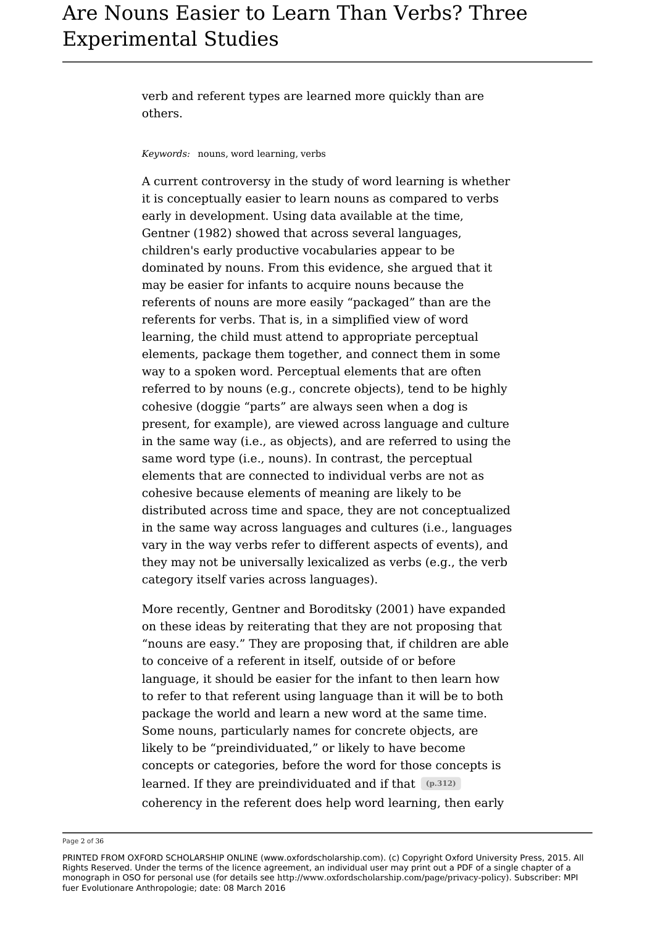verb and referent types are learned more quickly than are others.

*Keywords:* nouns, word learning, verbs

A current controversy in the study of word learning is whether it is conceptually easier to learn nouns as compared to verbs early in development. Using data available at the time, Gentner (1982) showed that across several languages, children's early productive vocabularies appear to be dominated by nouns. From this evidence, she argued that it may be easier for infants to acquire nouns because the referents of nouns are more easily "packaged" than are the referents for verbs. That is, in a simplified view of word learning, the child must attend to appropriate perceptual elements, package them together, and connect them in some way to a spoken word. Perceptual elements that are often referred to by nouns (e.g., concrete objects), tend to be highly cohesive (doggie "parts" are always seen when a dog is present, for example), are viewed across language and culture in the same way (i.e., as objects), and are referred to using the same word type (i.e., nouns). In contrast, the perceptual elements that are connected to individual verbs are not as cohesive because elements of meaning are likely to be distributed across time and space, they are not conceptualized in the same way across languages and cultures (i.e., languages vary in the way verbs refer to different aspects of events), and they may not be universally lexicalized as verbs (e.g., the verb category itself varies across languages).

More recently, Gentner and Boroditsky (2001) have expanded on these ideas by reiterating that they are not proposing that "nouns are easy." They are proposing that, if children are able to conceive of a referent in itself, outside of or before language, it should be easier for the infant to then learn how to refer to that referent using language than it will be to both package the world and learn a new word at the same time. Some nouns, particularly names for concrete objects, are likely to be "preindividuated," or likely to have become concepts or categories, before the word for those concepts is learned. If they are preindividuated and if that **(p.312)** coherency in the referent does help word learning, then early

Page 2 of 36

PRINTED FROM OXFORD SCHOLARSHIP ONLINE (www.oxfordscholarship.com). (c) Copyright Oxford University Press, 2015. All Rights Reserved. Under the terms of the licence agreement, an individual user may print out a PDF of a single chapter of a monograph in OSO for personal use (for details see http://www.oxfordscholarship.com/page/privacy-policy). Subscriber: MPI fuer Evolutionare Anthropologie; date: 08 March 2016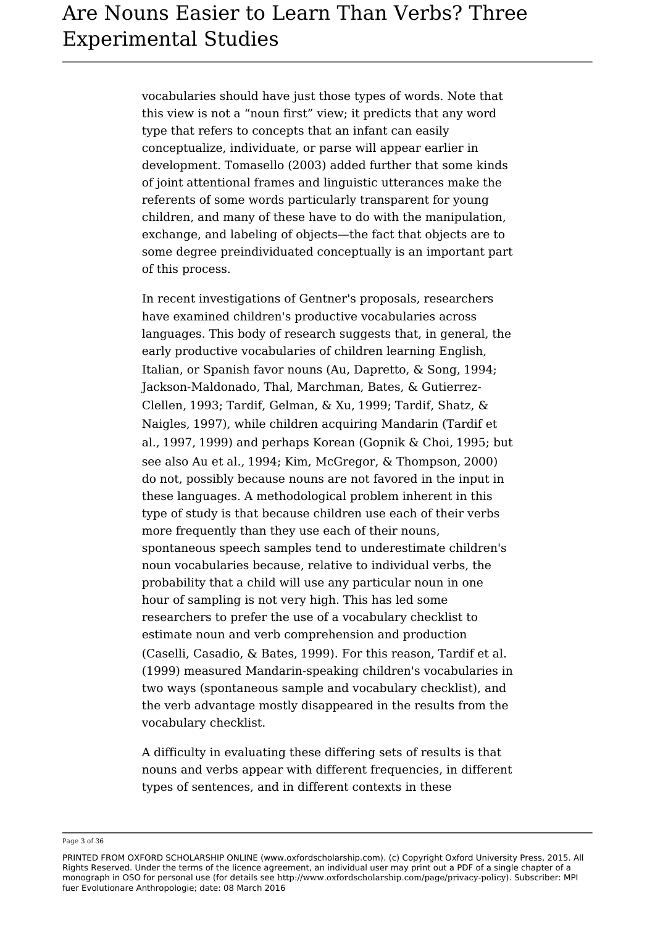vocabularies should have just those types of words. Note that this view is not a "noun first" view; it predicts that any word type that refers to concepts that an infant can easily conceptualize, individuate, or parse will appear earlier in development. Tomasello (2003) added further that some kinds of joint attentional frames and linguistic utterances make the referents of some words particularly transparent for young children, and many of these have to do with the manipulation, exchange, and labeling of objects—the fact that objects are to some degree preindividuated conceptually is an important part of this process.

In recent investigations of Gentner's proposals, researchers have examined children's productive vocabularies across languages. This body of research suggests that, in general, the early productive vocabularies of children learning English, Italian, or Spanish favor nouns (Au, Dapretto, & Song, 1994; Jackson-Maldonado, Thal, Marchman, Bates, & Gutierrez-Clellen, 1993; Tardif, Gelman, & Xu, 1999; Tardif, Shatz, & Naigles, 1997), while children acquiring Mandarin (Tardif et al., 1997, 1999) and perhaps Korean (Gopnik & Choi, 1995; but see also Au et al., 1994; Kim, McGregor, & Thompson, 2000) do not, possibly because nouns are not favored in the input in these languages. A methodological problem inherent in this type of study is that because children use each of their verbs more frequently than they use each of their nouns, spontaneous speech samples tend to underestimate children's noun vocabularies because, relative to individual verbs, the probability that a child will use any particular noun in one hour of sampling is not very high. This has led some researchers to prefer the use of a vocabulary checklist to estimate noun and verb comprehension and production (Caselli, Casadio, & Bates, 1999). For this reason, Tardif et al. (1999) measured Mandarin-speaking children's vocabularies in two ways (spontaneous sample and vocabulary checklist), and the verb advantage mostly disappeared in the results from the vocabulary checklist.

A difficulty in evaluating these differing sets of results is that nouns and verbs appear with different frequencies, in different types of sentences, and in different contexts in these

Page 3 of 36

PRINTED FROM OXFORD SCHOLARSHIP ONLINE (www.oxfordscholarship.com). (c) Copyright Oxford University Press, 2015. All Rights Reserved. Under the terms of the licence agreement, an individual user may print out a PDF of a single chapter of a monograph in OSO for personal use (for details see http://www.oxfordscholarship.com/page/privacy-policy). Subscriber: MPI fuer Evolutionare Anthropologie; date: 08 March 2016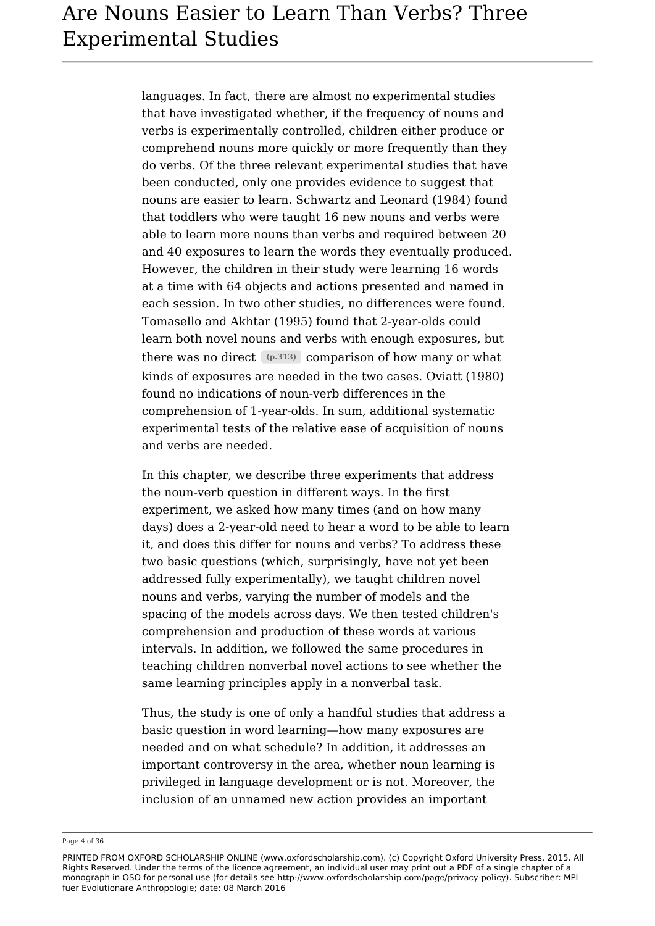languages. In fact, there are almost no experimental studies that have investigated whether, if the frequency of nouns and verbs is experimentally controlled, children either produce or comprehend nouns more quickly or more frequently than they do verbs. Of the three relevant experimental studies that have been conducted, only one provides evidence to suggest that nouns are easier to learn. Schwartz and Leonard (1984) found that toddlers who were taught 16 new nouns and verbs were able to learn more nouns than verbs and required between 20 and 40 exposures to learn the words they eventually produced. However, the children in their study were learning 16 words at a time with 64 objects and actions presented and named in each session. In two other studies, no differences were found. Tomasello and Akhtar (1995) found that 2-year-olds could learn both novel nouns and verbs with enough exposures, but there was no direct **(p.313)** comparison of how many or what kinds of exposures are needed in the two cases. Oviatt (1980) found no indications of noun-verb differences in the comprehension of 1-year-olds. In sum, additional systematic experimental tests of the relative ease of acquisition of nouns and verbs are needed.

In this chapter, we describe three experiments that address the noun-verb question in different ways. In the first experiment, we asked how many times (and on how many days) does a 2-year-old need to hear a word to be able to learn it, and does this differ for nouns and verbs? To address these two basic questions (which, surprisingly, have not yet been addressed fully experimentally), we taught children novel nouns and verbs, varying the number of models and the spacing of the models across days. We then tested children's comprehension and production of these words at various intervals. In addition, we followed the same procedures in teaching children nonverbal novel actions to see whether the same learning principles apply in a nonverbal task.

Thus, the study is one of only a handful studies that address a basic question in word learning—how many exposures are needed and on what schedule? In addition, it addresses an important controversy in the area, whether noun learning is privileged in language development or is not. Moreover, the inclusion of an unnamed new action provides an important

Page 4 of 36

PRINTED FROM OXFORD SCHOLARSHIP ONLINE (www.oxfordscholarship.com). (c) Copyright Oxford University Press, 2015. All Rights Reserved. Under the terms of the licence agreement, an individual user may print out a PDF of a single chapter of a monograph in OSO for personal use (for details see http://www.oxfordscholarship.com/page/privacy-policy). Subscriber: MPI fuer Evolutionare Anthropologie; date: 08 March 2016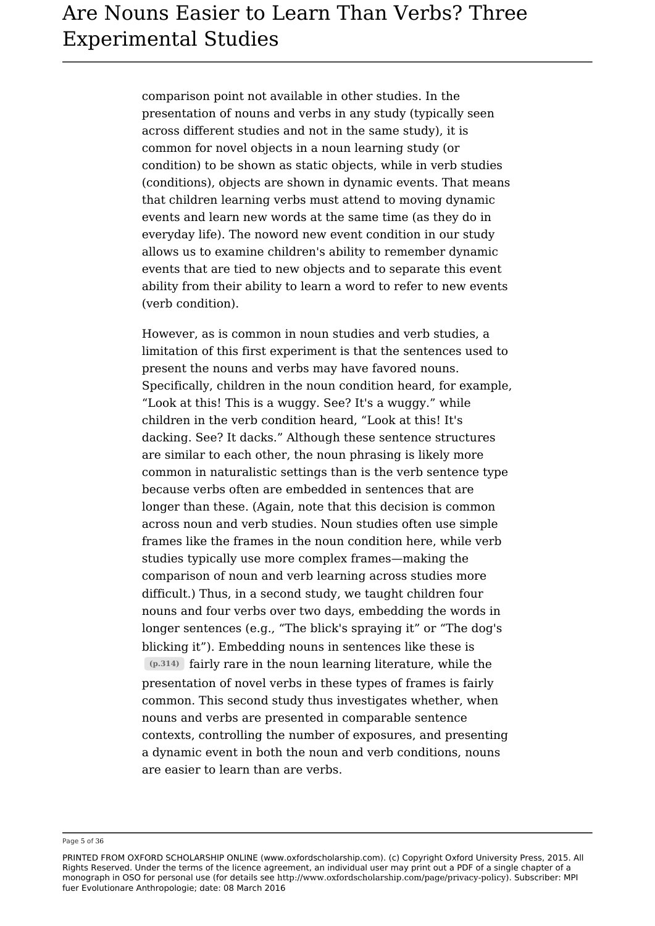comparison point not available in other studies. In the presentation of nouns and verbs in any study (typically seen across different studies and not in the same study), it is common for novel objects in a noun learning study (or condition) to be shown as static objects, while in verb studies (conditions), objects are shown in dynamic events. That means that children learning verbs must attend to moving dynamic events and learn new words at the same time (as they do in everyday life). The noword new event condition in our study allows us to examine children's ability to remember dynamic events that are tied to new objects and to separate this event ability from their ability to learn a word to refer to new events (verb condition).

However, as is common in noun studies and verb studies, a limitation of this first experiment is that the sentences used to present the nouns and verbs may have favored nouns. Specifically, children in the noun condition heard, for example, "Look at this! This is a wuggy. See? It's a wuggy." while children in the verb condition heard, "Look at this! It's dacking. See? It dacks." Although these sentence structures are similar to each other, the noun phrasing is likely more common in naturalistic settings than is the verb sentence type because verbs often are embedded in sentences that are longer than these. (Again, note that this decision is common across noun and verb studies. Noun studies often use simple frames like the frames in the noun condition here, while verb studies typically use more complex frames—making the comparison of noun and verb learning across studies more difficult.) Thus, in a second study, we taught children four nouns and four verbs over two days, embedding the words in longer sentences (e.g., "The blick's spraying it" or "The dog's blicking it"). Embedding nouns in sentences like these is **(p.314)** fairly rare in the noun learning literature, while the presentation of novel verbs in these types of frames is fairly common. This second study thus investigates whether, when nouns and verbs are presented in comparable sentence contexts, controlling the number of exposures, and presenting a dynamic event in both the noun and verb conditions, nouns are easier to learn than are verbs.

Page 5 of 36

PRINTED FROM OXFORD SCHOLARSHIP ONLINE (www.oxfordscholarship.com). (c) Copyright Oxford University Press, 2015. All Rights Reserved. Under the terms of the licence agreement, an individual user may print out a PDF of a single chapter of a monograph in OSO for personal use (for details see http://www.oxfordscholarship.com/page/privacy-policy). Subscriber: MPI fuer Evolutionare Anthropologie; date: 08 March 2016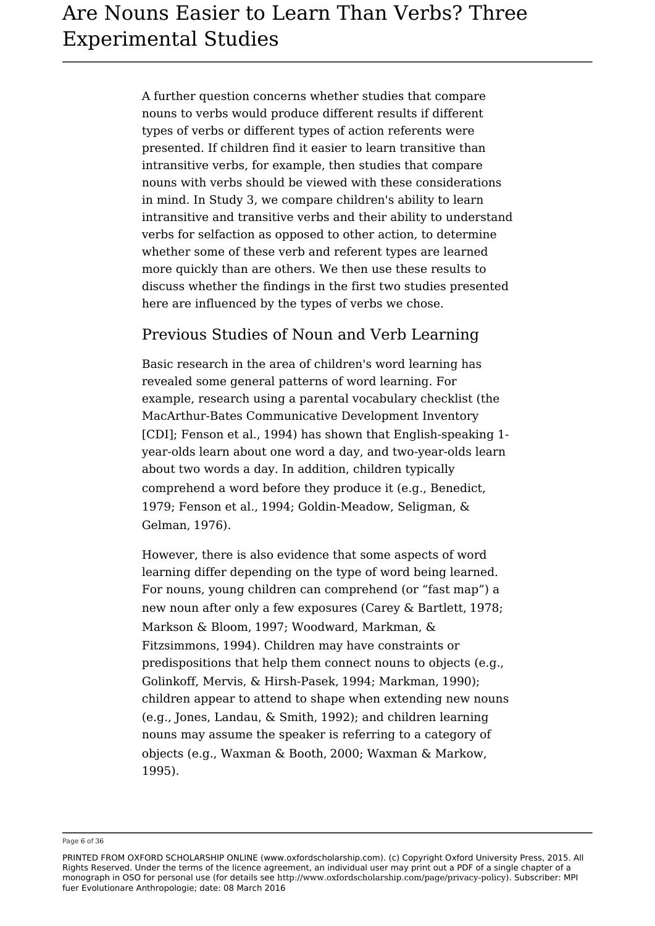A further question concerns whether studies that compare nouns to verbs would produce different results if different types of verbs or different types of action referents were presented. If children find it easier to learn transitive than intransitive verbs, for example, then studies that compare nouns with verbs should be viewed with these considerations in mind. In Study 3, we compare children's ability to learn intransitive and transitive verbs and their ability to understand verbs for selfaction as opposed to other action, to determine whether some of these verb and referent types are learned more quickly than are others. We then use these results to discuss whether the findings in the first two studies presented here are influenced by the types of verbs we chose.

### Previous Studies of Noun and Verb Learning

Basic research in the area of children's word learning has revealed some general patterns of word learning. For example, research using a parental vocabulary checklist (the MacArthur-Bates Communicative Development Inventory [CDI]; Fenson et al., 1994) has shown that English-speaking 1 year-olds learn about one word a day, and two-year-olds learn about two words a day. In addition, children typically comprehend a word before they produce it (e.g., Benedict, 1979; Fenson et al., 1994; Goldin-Meadow, Seligman, & Gelman, 1976).

However, there is also evidence that some aspects of word learning differ depending on the type of word being learned. For nouns, young children can comprehend (or "fast map") a new noun after only a few exposures (Carey & Bartlett, 1978; Markson & Bloom, 1997; Woodward, Markman, & Fitzsimmons, 1994). Children may have constraints or predispositions that help them connect nouns to objects (e.g., Golinkoff, Mervis, & Hirsh-Pasek, 1994; Markman, 1990); children appear to attend to shape when extending new nouns (e.g., Jones, Landau, & Smith, 1992); and children learning nouns may assume the speaker is referring to a category of objects (e.g., Waxman & Booth, 2000; Waxman & Markow, 1995).

Page 6 of 36

PRINTED FROM OXFORD SCHOLARSHIP ONLINE (www.oxfordscholarship.com). (c) Copyright Oxford University Press, 2015. All Rights Reserved. Under the terms of the licence agreement, an individual user may print out a PDF of a single chapter of a monograph in OSO for personal use (for details see http://www.oxfordscholarship.com/page/privacy-policy). Subscriber: MPI fuer Evolutionare Anthropologie; date: 08 March 2016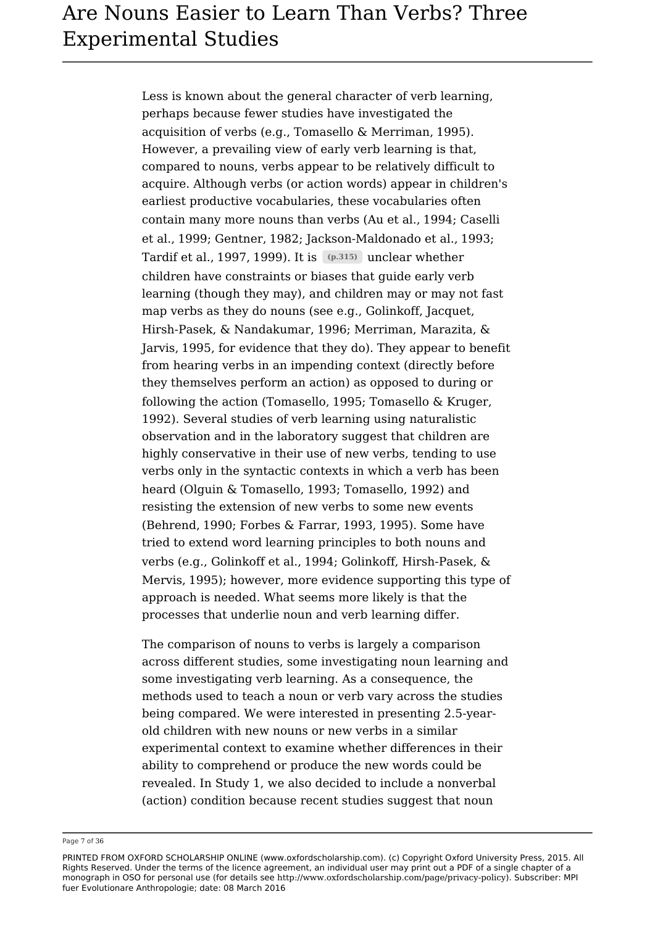Less is known about the general character of verb learning, perhaps because fewer studies have investigated the acquisition of verbs (e.g., Tomasello & Merriman, 1995). However, a prevailing view of early verb learning is that, compared to nouns, verbs appear to be relatively difficult to acquire. Although verbs (or action words) appear in children's earliest productive vocabularies, these vocabularies often contain many more nouns than verbs (Au et al., 1994; Caselli et al., 1999; Gentner, 1982; Jackson-Maldonado et al., 1993; Tardif et al., 1997, 1999). It is **(p.315)** unclear whether children have constraints or biases that guide early verb learning (though they may), and children may or may not fast map verbs as they do nouns (see e.g., Golinkoff, Jacquet, Hirsh-Pasek, & Nandakumar, 1996; Merriman, Marazita, & Jarvis, 1995, for evidence that they do). They appear to benefit from hearing verbs in an impending context (directly before they themselves perform an action) as opposed to during or following the action (Tomasello, 1995; Tomasello & Kruger, 1992). Several studies of verb learning using naturalistic observation and in the laboratory suggest that children are highly conservative in their use of new verbs, tending to use verbs only in the syntactic contexts in which a verb has been heard (Olguin & Tomasello, 1993; Tomasello, 1992) and resisting the extension of new verbs to some new events (Behrend, 1990; Forbes & Farrar, 1993, 1995). Some have tried to extend word learning principles to both nouns and verbs (e.g., Golinkoff et al., 1994; Golinkoff, Hirsh-Pasek, & Mervis, 1995); however, more evidence supporting this type of approach is needed. What seems more likely is that the processes that underlie noun and verb learning differ.

The comparison of nouns to verbs is largely a comparison across different studies, some investigating noun learning and some investigating verb learning. As a consequence, the methods used to teach a noun or verb vary across the studies being compared. We were interested in presenting 2.5-yearold children with new nouns or new verbs in a similar experimental context to examine whether differences in their ability to comprehend or produce the new words could be revealed. In Study 1, we also decided to include a nonverbal (action) condition because recent studies suggest that noun

Page 7 of 36

PRINTED FROM OXFORD SCHOLARSHIP ONLINE (www.oxfordscholarship.com). (c) Copyright Oxford University Press, 2015. All Rights Reserved. Under the terms of the licence agreement, an individual user may print out a PDF of a single chapter of a monograph in OSO for personal use (for details see http://www.oxfordscholarship.com/page/privacy-policy). Subscriber: MPI fuer Evolutionare Anthropologie; date: 08 March 2016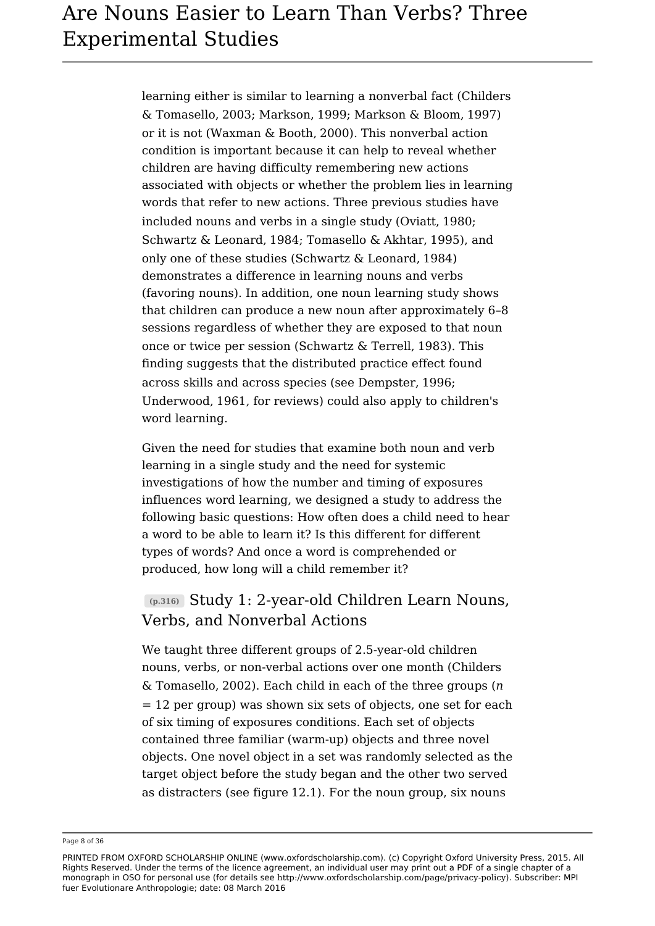learning either is similar to learning a nonverbal fact (Childers & Tomasello, 2003; Markson, 1999; Markson & Bloom, 1997) or it is not (Waxman & Booth, 2000). This nonverbal action condition is important because it can help to reveal whether children are having difficulty remembering new actions associated with objects or whether the problem lies in learning words that refer to new actions. Three previous studies have included nouns and verbs in a single study (Oviatt, 1980; Schwartz & Leonard, 1984; Tomasello & Akhtar, 1995), and only one of these studies (Schwartz & Leonard, 1984) demonstrates a difference in learning nouns and verbs (favoring nouns). In addition, one noun learning study shows that children can produce a new noun after approximately 6–8 sessions regardless of whether they are exposed to that noun once or twice per session (Schwartz & Terrell, 1983). This finding suggests that the distributed practice effect found across skills and across species (see Dempster, 1996; Underwood, 1961, for reviews) could also apply to children's word learning.

Given the need for studies that examine both noun and verb learning in a single study and the need for systemic investigations of how the number and timing of exposures influences word learning, we designed a study to address the following basic questions: How often does a child need to hear a word to be able to learn it? Is this different for different types of words? And once a word is comprehended or produced, how long will a child remember it?

### **(p.316)** Study 1: 2-year-old Children Learn Nouns, Verbs, and Nonverbal Actions

We taught three different groups of 2.5-year-old children nouns, verbs, or non-verbal actions over one month (Childers & Tomasello, 2002). Each child in each of the three groups (*n*  $= 12$  per group) was shown six sets of objects, one set for each of six timing of exposures conditions. Each set of objects contained three familiar (warm-up) objects and three novel objects. One novel object in a set was randomly selected as the target object before the study began and the other two served as distracters (see figure 12.1). For the noun group, six nouns

Page 8 of 36

PRINTED FROM OXFORD SCHOLARSHIP ONLINE (www.oxfordscholarship.com). (c) Copyright Oxford University Press, 2015. All Rights Reserved. Under the terms of the licence agreement, an individual user may print out a PDF of a single chapter of a monograph in OSO for personal use (for details see http://www.oxfordscholarship.com/page/privacy-policy). Subscriber: MPI fuer Evolutionare Anthropologie; date: 08 March 2016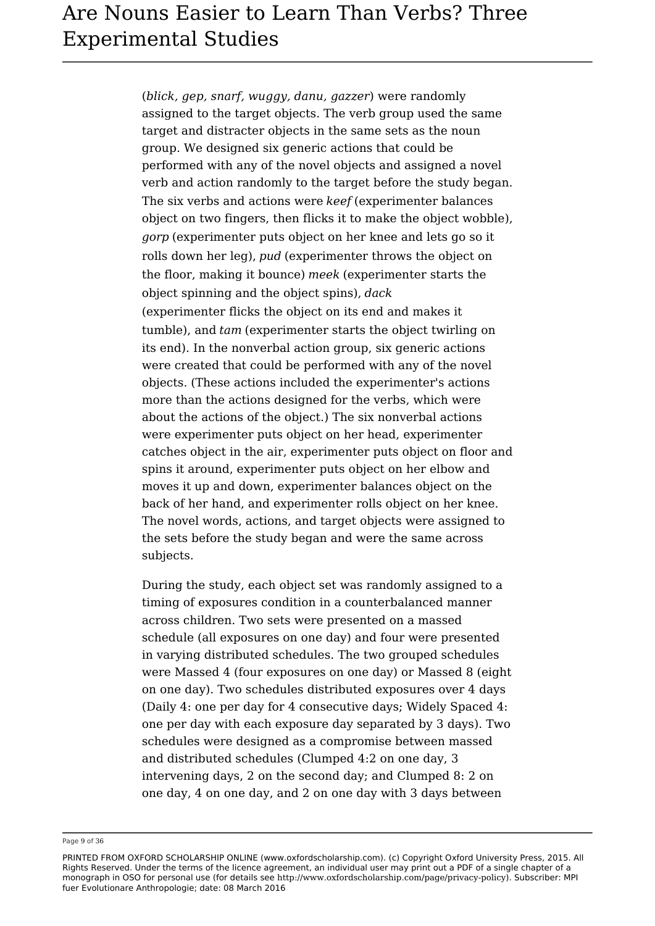(*blick, gep, snarf, wuggy, danu, gazzer*) were randomly assigned to the target objects. The verb group used the same target and distracter objects in the same sets as the noun group. We designed six generic actions that could be performed with any of the novel objects and assigned a novel verb and action randomly to the target before the study began. The six verbs and actions were *keef* (experimenter balances object on two fingers, then flicks it to make the object wobble), *gorp* (experimenter puts object on her knee and lets go so it rolls down her leg), *pud* (experimenter throws the object on the floor, making it bounce) *meek* (experimenter starts the object spinning and the object spins), *dack* (experimenter flicks the object on its end and makes it tumble), and *tam* (experimenter starts the object twirling on its end). In the nonverbal action group, six generic actions were created that could be performed with any of the novel objects. (These actions included the experimenter's actions more than the actions designed for the verbs, which were about the actions of the object.) The six nonverbal actions were experimenter puts object on her head, experimenter catches object in the air, experimenter puts object on floor and spins it around, experimenter puts object on her elbow and moves it up and down, experimenter balances object on the back of her hand, and experimenter rolls object on her knee. The novel words, actions, and target objects were assigned to the sets before the study began and were the same across subjects.

During the study, each object set was randomly assigned to a timing of exposures condition in a counterbalanced manner across children. Two sets were presented on a massed schedule (all exposures on one day) and four were presented in varying distributed schedules. The two grouped schedules were Massed 4 (four exposures on one day) or Massed 8 (eight on one day). Two schedules distributed exposures over 4 days (Daily 4: one per day for 4 consecutive days; Widely Spaced 4: one per day with each exposure day separated by 3 days). Two schedules were designed as a compromise between massed and distributed schedules (Clumped 4:2 on one day, 3 intervening days, 2 on the second day; and Clumped 8: 2 on one day, 4 on one day, and 2 on one day with 3 days between

Page 9 of 36

PRINTED FROM OXFORD SCHOLARSHIP ONLINE (www.oxfordscholarship.com). (c) Copyright Oxford University Press, 2015. All Rights Reserved. Under the terms of the licence agreement, an individual user may print out a PDF of a single chapter of a monograph in OSO for personal use (for details see http://www.oxfordscholarship.com/page/privacy-policy). Subscriber: MPI fuer Evolutionare Anthropologie; date: 08 March 2016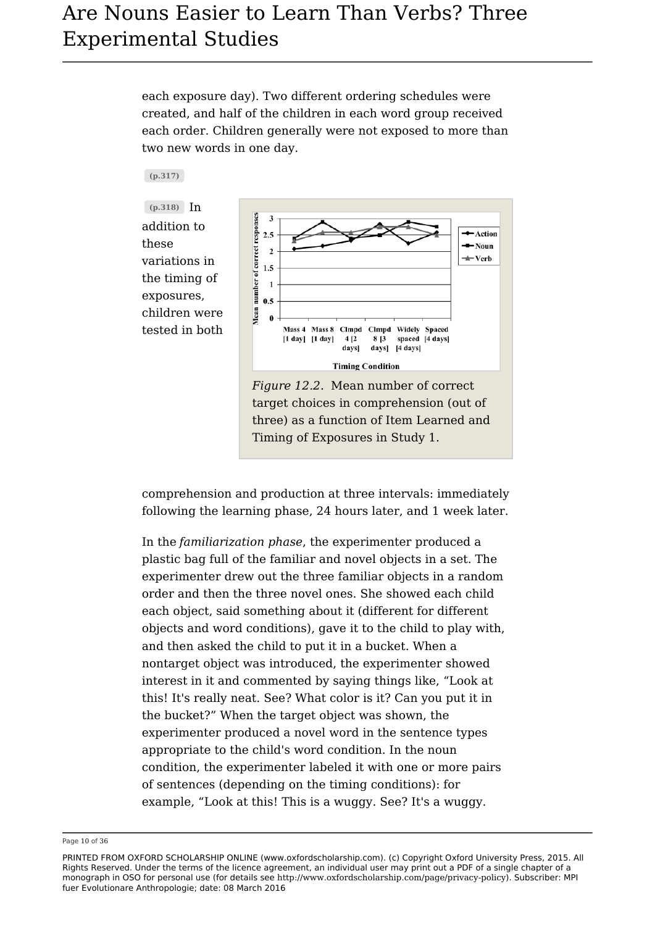each exposure day). Two different ordering schedules were created, and half of the children in each word group received each order. Children generally were not exposed to more than two new words in one day.

#### **(p.317)**



target choices in comprehension (out of three) as a function of Item Learned and Timing of Exposures in Study 1.

comprehension and production at three intervals: immediately following the learning phase, 24 hours later, and 1 week later.

In the *familiarization phase*, the experimenter produced a plastic bag full of the familiar and novel objects in a set. The experimenter drew out the three familiar objects in a random order and then the three novel ones. She showed each child each object, said something about it (different for different objects and word conditions), gave it to the child to play with, and then asked the child to put it in a bucket. When a nontarget object was introduced, the experimenter showed interest in it and commented by saying things like, "Look at this! It's really neat. See? What color is it? Can you put it in the bucket?" When the target object was shown, the experimenter produced a novel word in the sentence types appropriate to the child's word condition. In the noun condition, the experimenter labeled it with one or more pairs of sentences (depending on the timing conditions): for example, "Look at this! This is a wuggy. See? It's a wuggy.

Page 10 of 36

PRINTED FROM OXFORD SCHOLARSHIP ONLINE (www.oxfordscholarship.com). (c) Copyright Oxford University Press, 2015. All Rights Reserved. Under the terms of the licence agreement, an individual user may print out a PDF of a single chapter of a monograph in OSO for personal use (for details see http://www.oxfordscholarship.com/page/privacy-policy). Subscriber: MPI fuer Evolutionare Anthropologie; date: 08 March 2016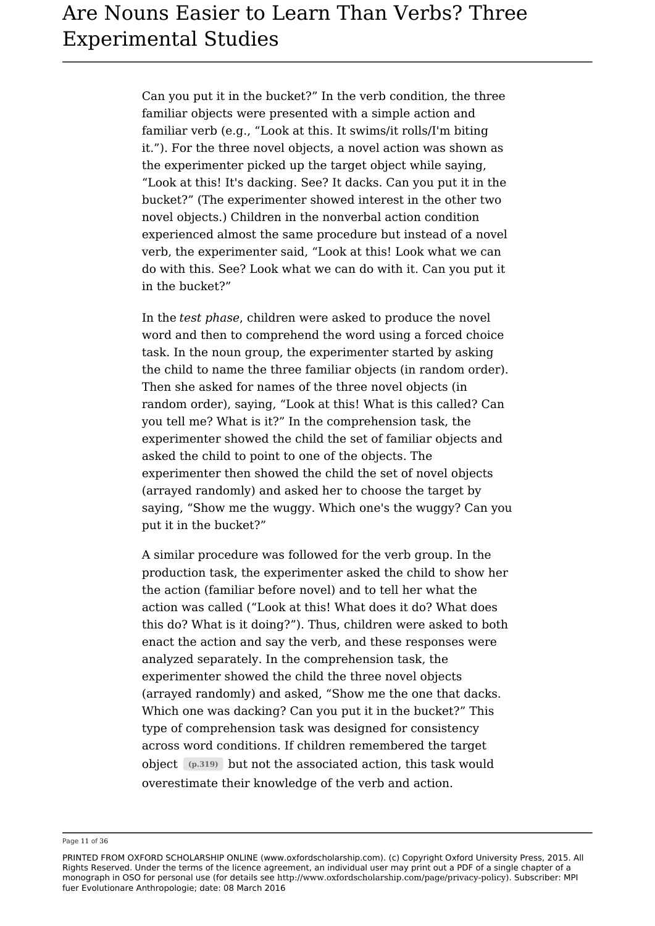Can you put it in the bucket?" In the verb condition, the three familiar objects were presented with a simple action and familiar verb (e.g., "Look at this. It swims/it rolls/I'm biting it."). For the three novel objects, a novel action was shown as the experimenter picked up the target object while saying, "Look at this! It's dacking. See? It dacks. Can you put it in the bucket?" (The experimenter showed interest in the other two novel objects.) Children in the nonverbal action condition experienced almost the same procedure but instead of a novel verb, the experimenter said, "Look at this! Look what we can do with this. See? Look what we can do with it. Can you put it in the bucket?"

In the *test phase*, children were asked to produce the novel word and then to comprehend the word using a forced choice task. In the noun group, the experimenter started by asking the child to name the three familiar objects (in random order). Then she asked for names of the three novel objects (in random order), saying, "Look at this! What is this called? Can you tell me? What is it?" In the comprehension task, the experimenter showed the child the set of familiar objects and asked the child to point to one of the objects. The experimenter then showed the child the set of novel objects (arrayed randomly) and asked her to choose the target by saying, "Show me the wuggy. Which one's the wuggy? Can you put it in the bucket?"

A similar procedure was followed for the verb group. In the production task, the experimenter asked the child to show her the action (familiar before novel) and to tell her what the action was called ("Look at this! What does it do? What does this do? What is it doing?"). Thus, children were asked to both enact the action and say the verb, and these responses were analyzed separately. In the comprehension task, the experimenter showed the child the three novel objects (arrayed randomly) and asked, "Show me the one that dacks. Which one was dacking? Can you put it in the bucket?" This type of comprehension task was designed for consistency across word conditions. If children remembered the target object **(p.319)** but not the associated action, this task would overestimate their knowledge of the verb and action.

Page 11 of 36

PRINTED FROM OXFORD SCHOLARSHIP ONLINE (www.oxfordscholarship.com). (c) Copyright Oxford University Press, 2015. All Rights Reserved. Under the terms of the licence agreement, an individual user may print out a PDF of a single chapter of a monograph in OSO for personal use (for details see http://www.oxfordscholarship.com/page/privacy-policy). Subscriber: MPI fuer Evolutionare Anthropologie; date: 08 March 2016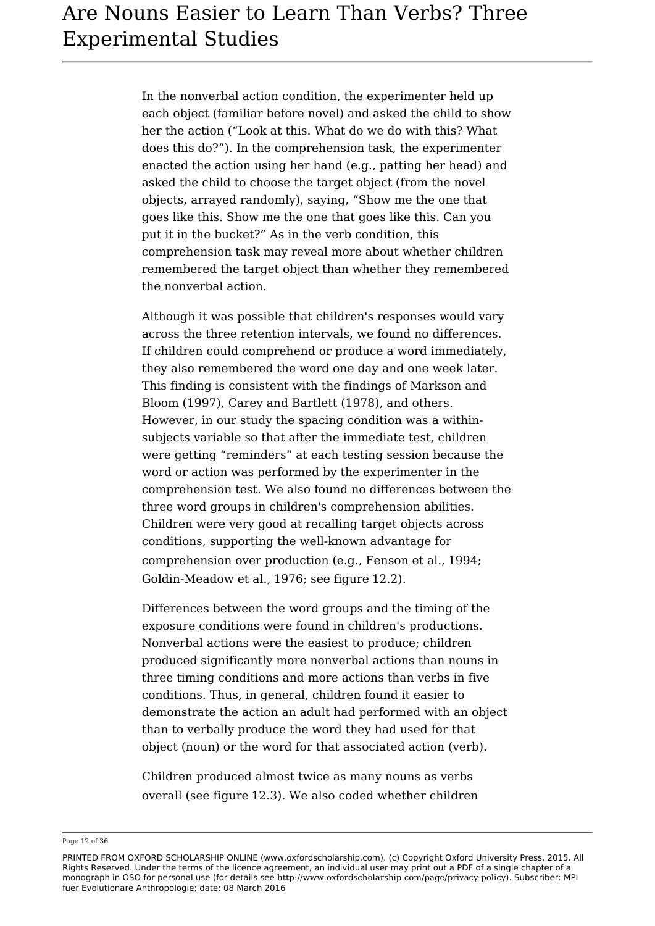In the nonverbal action condition, the experimenter held up each object (familiar before novel) and asked the child to show her the action ("Look at this. What do we do with this? What does this do?"). In the comprehension task, the experimenter enacted the action using her hand (e.g., patting her head) and asked the child to choose the target object (from the novel objects, arrayed randomly), saying, "Show me the one that goes like this. Show me the one that goes like this. Can you put it in the bucket?" As in the verb condition, this comprehension task may reveal more about whether children remembered the target object than whether they remembered the nonverbal action.

Although it was possible that children's responses would vary across the three retention intervals, we found no differences. If children could comprehend or produce a word immediately, they also remembered the word one day and one week later. This finding is consistent with the findings of Markson and Bloom (1997), Carey and Bartlett (1978), and others. However, in our study the spacing condition was a withinsubjects variable so that after the immediate test, children were getting "reminders" at each testing session because the word or action was performed by the experimenter in the comprehension test. We also found no differences between the three word groups in children's comprehension abilities. Children were very good at recalling target objects across conditions, supporting the well-known advantage for comprehension over production (e.g., Fenson et al., 1994; Goldin-Meadow et al., 1976; see figure 12.2).

Differences between the word groups and the timing of the exposure conditions were found in children's productions. Nonverbal actions were the easiest to produce; children produced significantly more nonverbal actions than nouns in three timing conditions and more actions than verbs in five conditions. Thus, in general, children found it easier to demonstrate the action an adult had performed with an object than to verbally produce the word they had used for that object (noun) or the word for that associated action (verb).

Children produced almost twice as many nouns as verbs overall (see figure 12.3). We also coded whether children

Page 12 of 36

PRINTED FROM OXFORD SCHOLARSHIP ONLINE (www.oxfordscholarship.com). (c) Copyright Oxford University Press, 2015. All Rights Reserved. Under the terms of the licence agreement, an individual user may print out a PDF of a single chapter of a monograph in OSO for personal use (for details see http://www.oxfordscholarship.com/page/privacy-policy). Subscriber: MPI fuer Evolutionare Anthropologie; date: 08 March 2016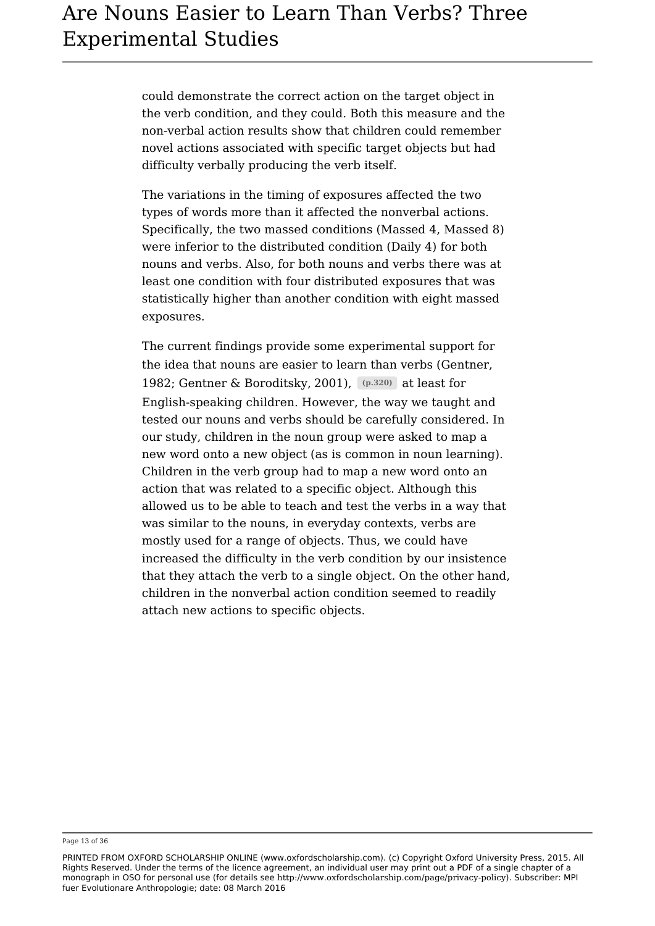could demonstrate the correct action on the target object in the verb condition, and they could. Both this measure and the non-verbal action results show that children could remember novel actions associated with specific target objects but had difficulty verbally producing the verb itself.

The variations in the timing of exposures affected the two types of words more than it affected the nonverbal actions. Specifically, the two massed conditions (Massed 4, Massed 8) were inferior to the distributed condition (Daily 4) for both nouns and verbs. Also, for both nouns and verbs there was at least one condition with four distributed exposures that was statistically higher than another condition with eight massed exposures.

The current findings provide some experimental support for the idea that nouns are easier to learn than verbs (Gentner, 1982; Gentner & Boroditsky, 2001), **(p.320)** at least for English-speaking children. However, the way we taught and tested our nouns and verbs should be carefully considered. In our study, children in the noun group were asked to map a new word onto a new object (as is common in noun learning). Children in the verb group had to map a new word onto an action that was related to a specific object. Although this allowed us to be able to teach and test the verbs in a way that was similar to the nouns, in everyday contexts, verbs are mostly used for a range of objects. Thus, we could have increased the difficulty in the verb condition by our insistence that they attach the verb to a single object. On the other hand, children in the nonverbal action condition seemed to readily attach new actions to specific objects.

Page 13 of 36

PRINTED FROM OXFORD SCHOLARSHIP ONLINE (www.oxfordscholarship.com). (c) Copyright Oxford University Press, 2015. All Rights Reserved. Under the terms of the licence agreement, an individual user may print out a PDF of a single chapter of a monograph in OSO for personal use (for details see http://www.oxfordscholarship.com/page/privacy-policy). Subscriber: MPI fuer Evolutionare Anthropologie; date: 08 March 2016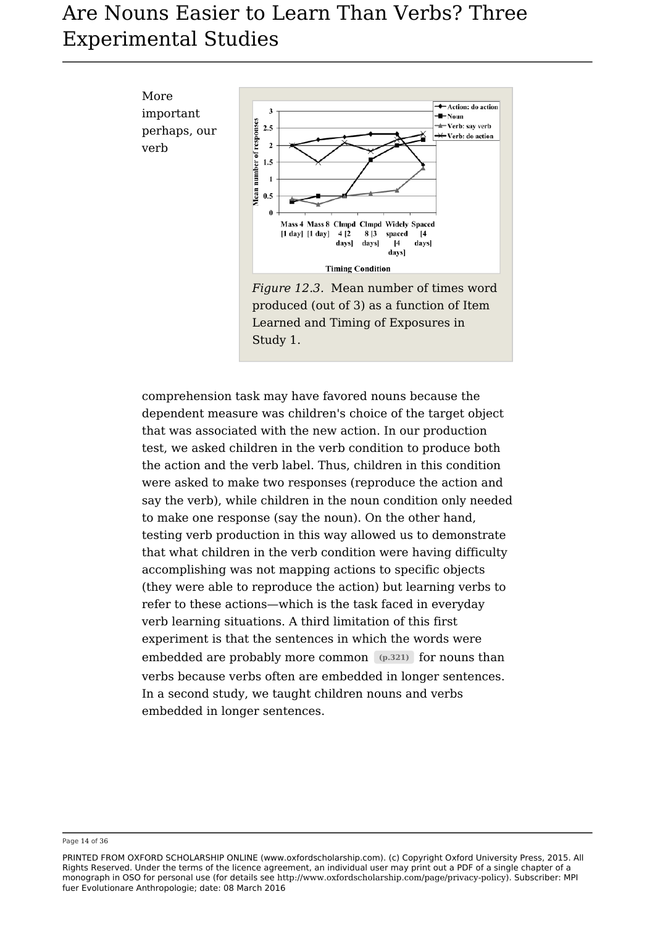



comprehension task may have favored nouns because the dependent measure was children's choice of the target object that was associated with the new action. In our production test, we asked children in the verb condition to produce both the action and the verb label. Thus, children in this condition were asked to make two responses (reproduce the action and say the verb), while children in the noun condition only needed to make one response (say the noun). On the other hand, testing verb production in this way allowed us to demonstrate that what children in the verb condition were having difficulty accomplishing was not mapping actions to specific objects (they were able to reproduce the action) but learning verbs to refer to these actions—which is the task faced in everyday verb learning situations. A third limitation of this first experiment is that the sentences in which the words were embedded are probably more common **(p.321)** for nouns than verbs because verbs often are embedded in longer sentences. In a second study, we taught children nouns and verbs embedded in longer sentences.

Page 14 of 36

PRINTED FROM OXFORD SCHOLARSHIP ONLINE (www.oxfordscholarship.com). (c) Copyright Oxford University Press, 2015. All Rights Reserved. Under the terms of the licence agreement, an individual user may print out a PDF of a single chapter of a monograph in OSO for personal use (for details see http://www.oxfordscholarship.com/page/privacy-policy). Subscriber: MPI fuer Evolutionare Anthropologie; date: 08 March 2016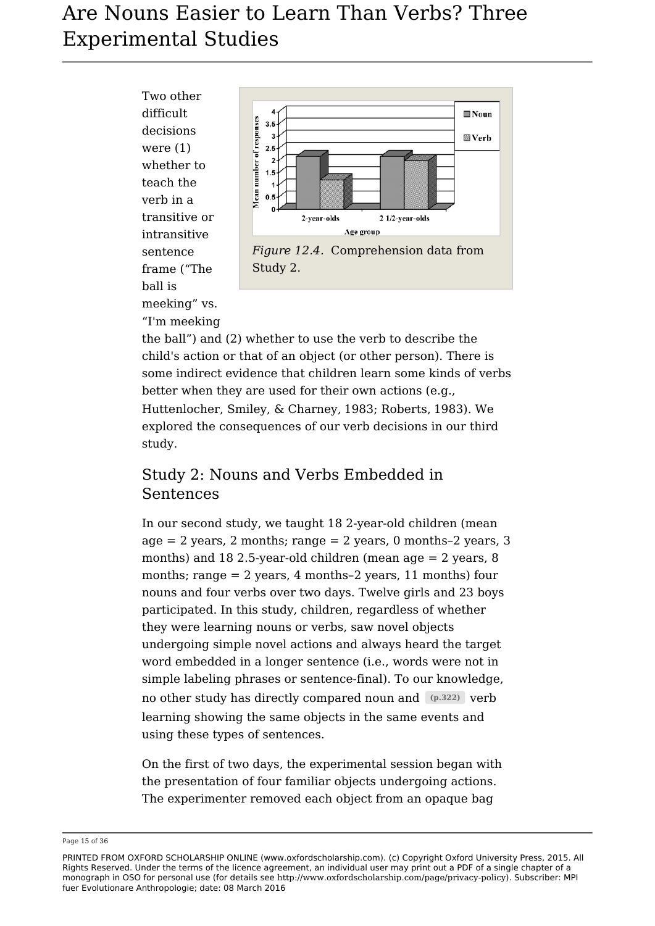Two other difficult<br>
decisions<br>
were (1)<br>
whether to<br>
teach the<br>
verb in a decisions  $\left[\begin{array}{c} \frac{3}{2} \\ \frac{5}{2} \end{array}\right]$ were  $(1)$   $\frac{1}{2}$  2.5 whether to  $\frac{1}{2}$   $\frac{2}{1.5}$ teach the verb in a  $\frac{3}{5}$  0.4 frame ("The ball is meeking" vs. "I'm meeking



the ball") and (2) whether to use the verb to describe the child's action or that of an object (or other person). There is some indirect evidence that children learn some kinds of verbs better when they are used for their own actions (e.g., Huttenlocher, Smiley, & Charney, 1983; Roberts, 1983). We explored the consequences of our verb decisions in our third study.

### Study 2: Nouns and Verbs Embedded in Sentences

In our second study, we taught 18 2-year-old children (mean  $age = 2 years, 2 months; range = 2 years, 0 months-2 years, 3$ months) and 18 2.5-year-old children (mean age = 2 years, 8 months; range = 2 years, 4 months–2 years, 11 months) four nouns and four verbs over two days. Twelve girls and 23 boys participated. In this study, children, regardless of whether they were learning nouns or verbs, saw novel objects undergoing simple novel actions and always heard the target word embedded in a longer sentence (i.e., words were not in simple labeling phrases or sentence-final). To our knowledge, no other study has directly compared noun and **(p.322)** verb learning showing the same objects in the same events and using these types of sentences.

On the first of two days, the experimental session began with the presentation of four familiar objects undergoing actions. The experimenter removed each object from an opaque bag

Page 15 of 36

PRINTED FROM OXFORD SCHOLARSHIP ONLINE (www.oxfordscholarship.com). (c) Copyright Oxford University Press, 2015. All Rights Reserved. Under the terms of the licence agreement, an individual user may print out a PDF of a single chapter of a monograph in OSO for personal use (for details see http://www.oxfordscholarship.com/page/privacy-policy). Subscriber: MPI fuer Evolutionare Anthropologie; date: 08 March 2016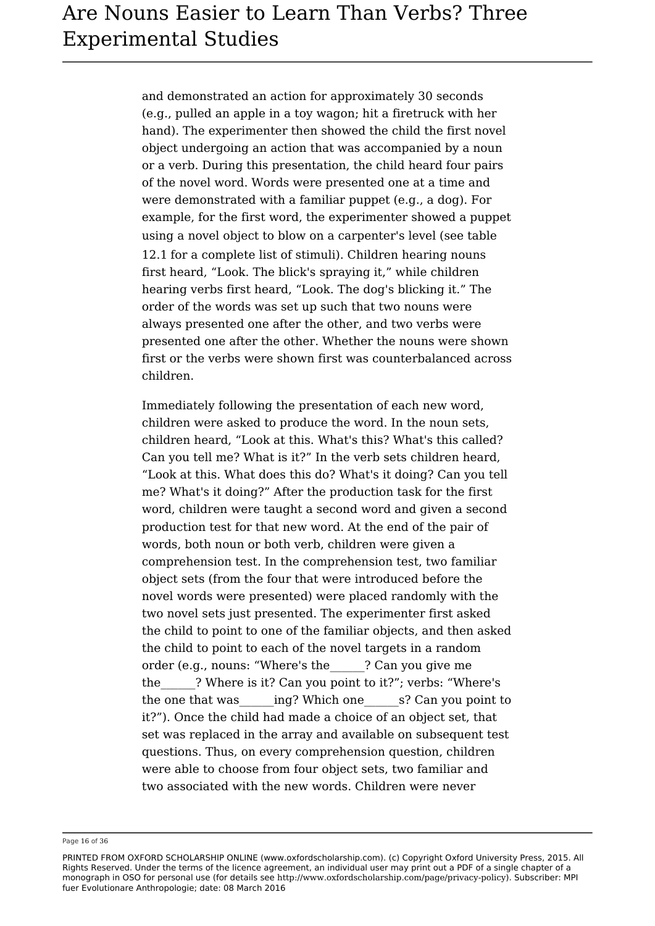and demonstrated an action for approximately 30 seconds (e.g., pulled an apple in a toy wagon; hit a firetruck with her hand). The experimenter then showed the child the first novel object undergoing an action that was accompanied by a noun or a verb. During this presentation, the child heard four pairs of the novel word. Words were presented one at a time and were demonstrated with a familiar puppet (e.g., a dog). For example, for the first word, the experimenter showed a puppet using a novel object to blow on a carpenter's level (see table 12.1 for a complete list of stimuli). Children hearing nouns first heard, "Look. The blick's spraying it," while children hearing verbs first heard, "Look. The dog's blicking it." The order of the words was set up such that two nouns were always presented one after the other, and two verbs were presented one after the other. Whether the nouns were shown first or the verbs were shown first was counterbalanced across children.

Immediately following the presentation of each new word, children were asked to produce the word. In the noun sets, children heard, "Look at this. What's this? What's this called? Can you tell me? What is it?" In the verb sets children heard, "Look at this. What does this do? What's it doing? Can you tell me? What's it doing?" After the production task for the first word, children were taught a second word and given a second production test for that new word. At the end of the pair of words, both noun or both verb, children were given a comprehension test. In the comprehension test, two familiar object sets (from the four that were introduced before the novel words were presented) were placed randomly with the two novel sets just presented. The experimenter first asked the child to point to one of the familiar objects, and then asked the child to point to each of the novel targets in a random order (e.g., nouns: "Where's the\_\_\_\_\_\_? Can you give me the ? Where is it? Can you point to it?"; verbs: "Where's the one that was ing? Which one s? Can you point to it?"). Once the child had made a choice of an object set, that set was replaced in the array and available on subsequent test questions. Thus, on every comprehension question, children were able to choose from four object sets, two familiar and two associated with the new words. Children were never

Page 16 of 36

PRINTED FROM OXFORD SCHOLARSHIP ONLINE (www.oxfordscholarship.com). (c) Copyright Oxford University Press, 2015. All Rights Reserved. Under the terms of the licence agreement, an individual user may print out a PDF of a single chapter of a monograph in OSO for personal use (for details see http://www.oxfordscholarship.com/page/privacy-policy). Subscriber: MPI fuer Evolutionare Anthropologie; date: 08 March 2016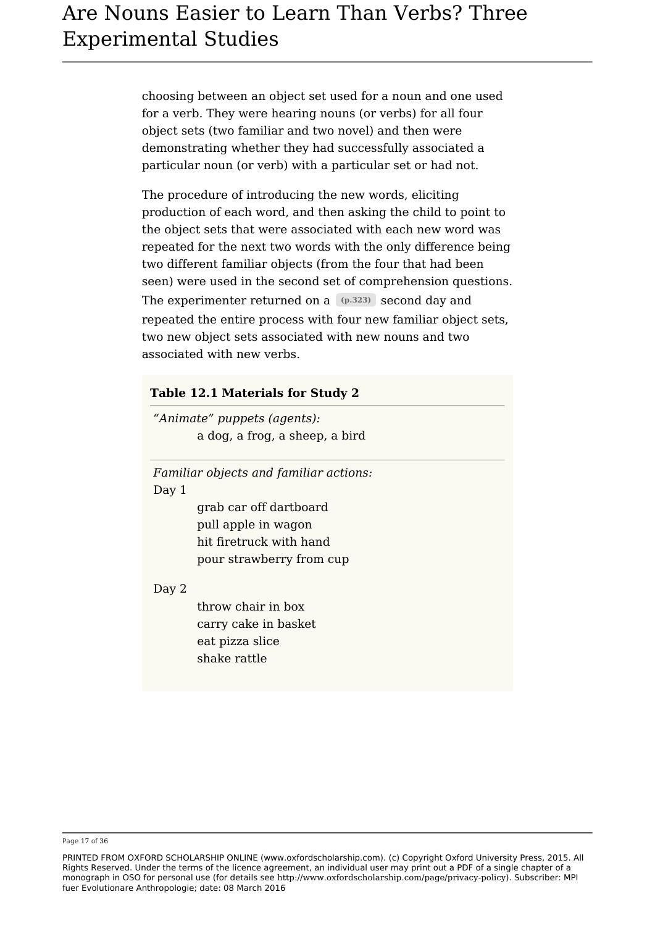choosing between an object set used for a noun and one used for a verb. They were hearing nouns (or verbs) for all four object sets (two familiar and two novel) and then were demonstrating whether they had successfully associated a particular noun (or verb) with a particular set or had not.

The procedure of introducing the new words, eliciting production of each word, and then asking the child to point to the object sets that were associated with each new word was repeated for the next two words with the only difference being two different familiar objects (from the four that had been seen) were used in the second set of comprehension questions. The experimenter returned on a **(p.323)** second day and repeated the entire process with four new familiar object sets, two new object sets associated with new nouns and two associated with new verbs.

#### **Table 12.1 Materials for Study 2**

*"Animate" puppets (agents):* a dog, a frog, a sheep, a bird

*Familiar objects and familiar actions:* Day 1

> grab car off dartboard pull apple in wagon hit firetruck with hand pour strawberry from cup

#### Day 2

throw chair in box carry cake in basket eat pizza slice shake rattle

Page 17 of 36

PRINTED FROM OXFORD SCHOLARSHIP ONLINE (www.oxfordscholarship.com). (c) Copyright Oxford University Press, 2015. All Rights Reserved. Under the terms of the licence agreement, an individual user may print out a PDF of a single chapter of a monograph in OSO for personal use (for details see http://www.oxfordscholarship.com/page/privacy-policy). Subscriber: MPI fuer Evolutionare Anthropologie; date: 08 March 2016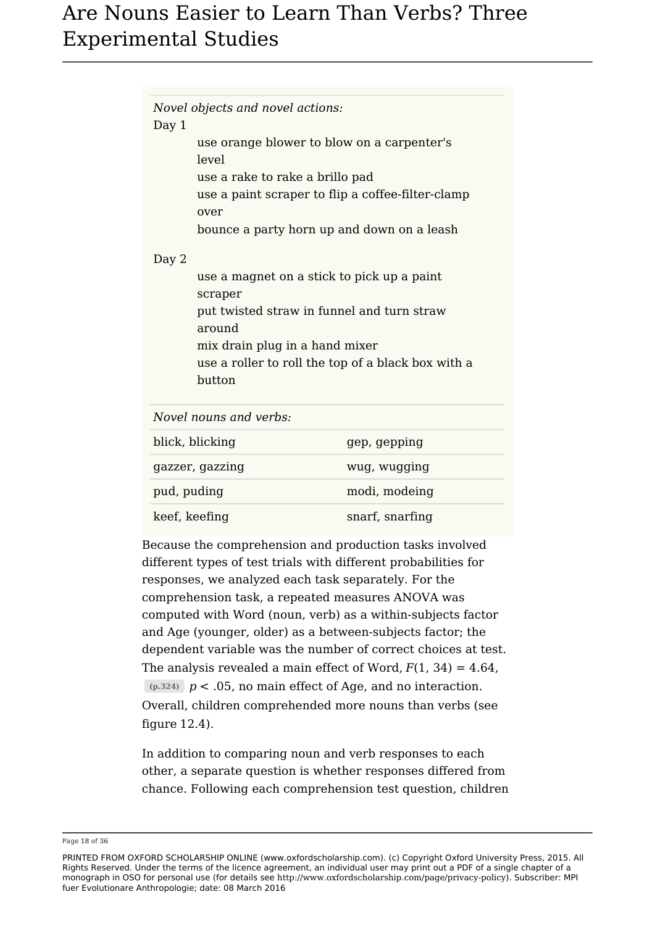| Novel objects and novel actions:                    |                                                                                                                                                        |                                            |  |
|-----------------------------------------------------|--------------------------------------------------------------------------------------------------------------------------------------------------------|--------------------------------------------|--|
| Day 1                                               |                                                                                                                                                        |                                            |  |
| use orange blower to blow on a carpenter's<br>level |                                                                                                                                                        |                                            |  |
|                                                     | use a rake to rake a brillo pad<br>use a paint scraper to flip a coffee-filter-clamp                                                                   |                                            |  |
|                                                     |                                                                                                                                                        |                                            |  |
|                                                     | over                                                                                                                                                   |                                            |  |
|                                                     |                                                                                                                                                        | bounce a party horn up and down on a leash |  |
| Day 2                                               |                                                                                                                                                        |                                            |  |
|                                                     |                                                                                                                                                        | use a magnet on a stick to pick up a paint |  |
|                                                     | scraper                                                                                                                                                |                                            |  |
|                                                     | put twisted straw in funnel and turn straw<br>around<br>mix drain plug in a hand mixer<br>use a roller to roll the top of a black box with a<br>button |                                            |  |
|                                                     |                                                                                                                                                        |                                            |  |
|                                                     |                                                                                                                                                        |                                            |  |
|                                                     |                                                                                                                                                        |                                            |  |
|                                                     |                                                                                                                                                        |                                            |  |
|                                                     |                                                                                                                                                        |                                            |  |
|                                                     | Novel nouns and verbs:                                                                                                                                 |                                            |  |
| blick, blicking                                     |                                                                                                                                                        | gep, gepping                               |  |
| gazzer, gazzing                                     |                                                                                                                                                        | wug, wugging                               |  |
| pud, puding                                         |                                                                                                                                                        | modi, modeing                              |  |
| keef, keefing                                       |                                                                                                                                                        | snarf, snarfing                            |  |

Because the comprehension and production tasks involved different types of test trials with different probabilities for responses, we analyzed each task separately. For the comprehension task, a repeated measures ANOVA was computed with Word (noun, verb) as a within-subjects factor and Age (younger, older) as a between-subjects factor; the dependent variable was the number of correct choices at test. The analysis revealed a main effect of Word,  $F(1, 34) = 4.64$ , **(p.324)** *p* < .05, no main effect of Age, and no interaction. Overall, children comprehended more nouns than verbs (see figure 12.4).

In addition to comparing noun and verb responses to each other, a separate question is whether responses differed from chance. Following each comprehension test question, children

Page 18 of 36

PRINTED FROM OXFORD SCHOLARSHIP ONLINE (www.oxfordscholarship.com). (c) Copyright Oxford University Press, 2015. All Rights Reserved. Under the terms of the licence agreement, an individual user may print out a PDF of a single chapter of a monograph in OSO for personal use (for details see http://www.oxfordscholarship.com/page/privacy-policy). Subscriber: MPI fuer Evolutionare Anthropologie; date: 08 March 2016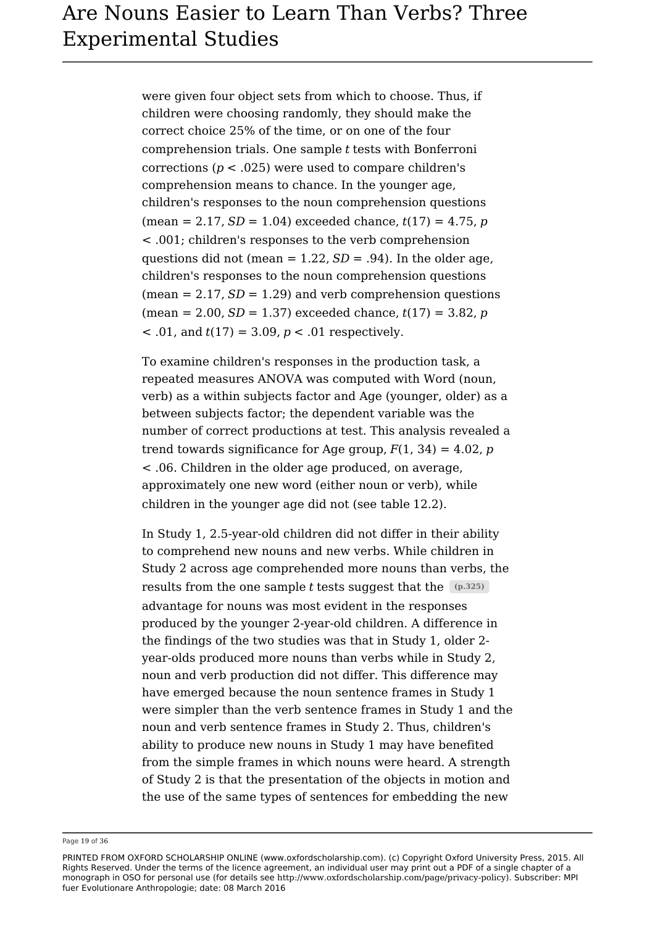were given four object sets from which to choose. Thus, if children were choosing randomly, they should make the correct choice 25% of the time, or on one of the four comprehension trials. One sample *t* tests with Bonferroni corrections (*p* < .025) were used to compare children's comprehension means to chance. In the younger age, children's responses to the noun comprehension questions  $(mean = 2.17, SD = 1.04)$  exceeded chance,  $t(17) = 4.75, p$ < .001; children's responses to the verb comprehension questions did not (mean  $= 1.22$ ,  $SD = .94$ ). In the older age, children's responses to the noun comprehension questions (mean  $= 2.17$ ,  $SD = 1.29$ ) and verb comprehension questions  $(mean = 2.00, SD = 1.37)$  exceeded chance,  $t(17) = 3.82$ , *p*  $(0.01, 0.01) = 3.09, p < 0.01$  respectively.

To examine children's responses in the production task, a repeated measures ANOVA was computed with Word (noun, verb) as a within subjects factor and Age (younger, older) as a between subjects factor; the dependent variable was the number of correct productions at test. This analysis revealed a trend towards significance for Age group,  $F(1, 34) = 4.02$ , *p* < .06. Children in the older age produced, on average, approximately one new word (either noun or verb), while children in the younger age did not (see table 12.2).

In Study 1, 2.5-year-old children did not differ in their ability to comprehend new nouns and new verbs. While children in Study 2 across age comprehended more nouns than verbs, the results from the one sample *t* tests suggest that the **(p.325)** advantage for nouns was most evident in the responses produced by the younger 2-year-old children. A difference in the findings of the two studies was that in Study 1, older 2 year-olds produced more nouns than verbs while in Study 2, noun and verb production did not differ. This difference may have emerged because the noun sentence frames in Study 1 were simpler than the verb sentence frames in Study 1 and the noun and verb sentence frames in Study 2. Thus, children's ability to produce new nouns in Study 1 may have benefited from the simple frames in which nouns were heard. A strength of Study 2 is that the presentation of the objects in motion and the use of the same types of sentences for embedding the new

Page 19 of 36

PRINTED FROM OXFORD SCHOLARSHIP ONLINE (www.oxfordscholarship.com). (c) Copyright Oxford University Press, 2015. All Rights Reserved. Under the terms of the licence agreement, an individual user may print out a PDF of a single chapter of a monograph in OSO for personal use (for details see http://www.oxfordscholarship.com/page/privacy-policy). Subscriber: MPI fuer Evolutionare Anthropologie; date: 08 March 2016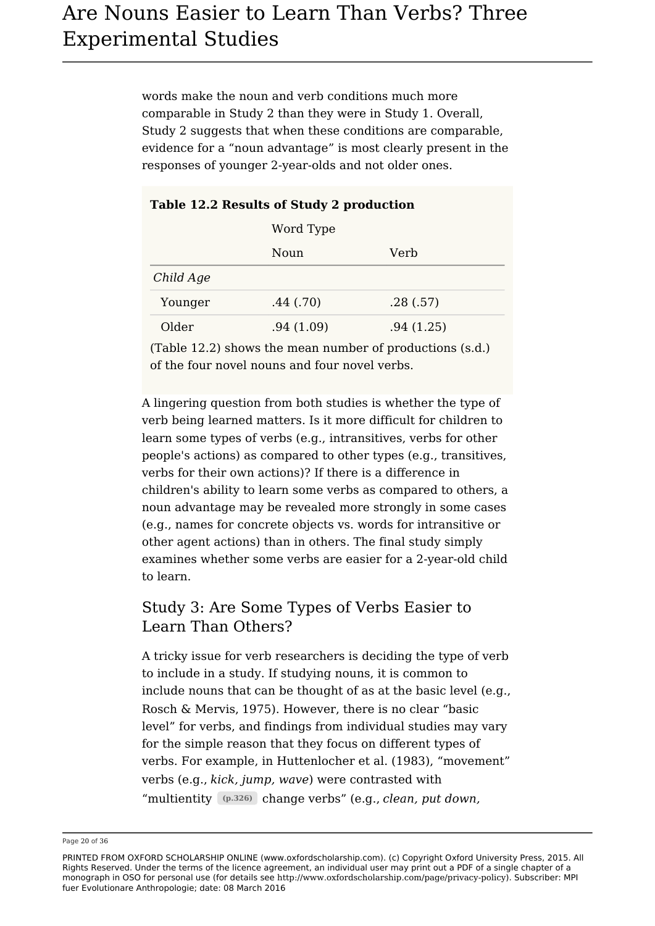words make the noun and verb conditions much more comparable in Study 2 than they were in Study 1. Overall, Study 2 suggests that when these conditions are comparable, evidence for a "noun advantage" is most clearly present in the responses of younger 2-year-olds and not older ones.

|           | Word Type    |           |  |  |
|-----------|--------------|-----------|--|--|
|           | Noun         | Verb      |  |  |
| Child Age |              |           |  |  |
| Younger   | .44(.70)     | .28(.57)  |  |  |
| Older     | .94(1.09)    | .94(1.25) |  |  |
|           | $\mathbf{r}$ |           |  |  |

#### **Table 12.2 Results of Study 2 production**

(Table 12.2) shows the mean number of productions (s.d.) of the four novel nouns and four novel verbs.

A lingering question from both studies is whether the type of verb being learned matters. Is it more difficult for children to learn some types of verbs (e.g., intransitives, verbs for other people's actions) as compared to other types (e.g., transitives, verbs for their own actions)? If there is a difference in children's ability to learn some verbs as compared to others, a noun advantage may be revealed more strongly in some cases (e.g., names for concrete objects vs. words for intransitive or other agent actions) than in others. The final study simply examines whether some verbs are easier for a 2-year-old child to learn.

### Study 3: Are Some Types of Verbs Easier to Learn Than Others?

A tricky issue for verb researchers is deciding the type of verb to include in a study. If studying nouns, it is common to include nouns that can be thought of as at the basic level (e.g., Rosch & Mervis, 1975). However, there is no clear "basic level" for verbs, and findings from individual studies may vary for the simple reason that they focus on different types of verbs. For example, in Huttenlocher et al. (1983), "movement" verbs (e.g., *kick, jump, wave*) were contrasted with "multientity **(p.326)** change verbs" (e.g., *clean, put down,*

Page 20 of 36

PRINTED FROM OXFORD SCHOLARSHIP ONLINE (www.oxfordscholarship.com). (c) Copyright Oxford University Press, 2015. All Rights Reserved. Under the terms of the licence agreement, an individual user may print out a PDF of a single chapter of a monograph in OSO for personal use (for details see http://www.oxfordscholarship.com/page/privacy-policy). Subscriber: MPI fuer Evolutionare Anthropologie; date: 08 March 2016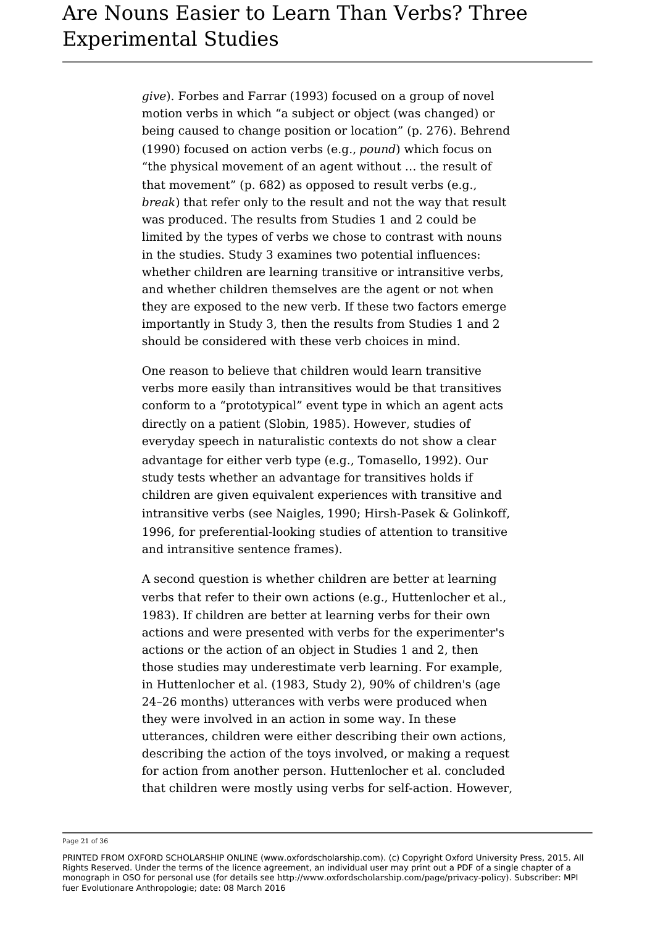*give*). Forbes and Farrar (1993) focused on a group of novel motion verbs in which "a subject or object (was changed) or being caused to change position or location" (p. 276). Behrend (1990) focused on action verbs (e.g., *pound*) which focus on "the physical movement of an agent without … the result of that movement" (p. 682) as opposed to result verbs (e.g., *break*) that refer only to the result and not the way that result was produced. The results from Studies 1 and 2 could be limited by the types of verbs we chose to contrast with nouns in the studies. Study 3 examines two potential influences: whether children are learning transitive or intransitive verbs, and whether children themselves are the agent or not when they are exposed to the new verb. If these two factors emerge importantly in Study 3, then the results from Studies 1 and 2 should be considered with these verb choices in mind.

One reason to believe that children would learn transitive verbs more easily than intransitives would be that transitives conform to a "prototypical" event type in which an agent acts directly on a patient (Slobin, 1985). However, studies of everyday speech in naturalistic contexts do not show a clear advantage for either verb type (e.g., Tomasello, 1992). Our study tests whether an advantage for transitives holds if children are given equivalent experiences with transitive and intransitive verbs (see Naigles, 1990; Hirsh-Pasek & Golinkoff, 1996, for preferential-looking studies of attention to transitive and intransitive sentence frames).

A second question is whether children are better at learning verbs that refer to their own actions (e.g., Huttenlocher et al., 1983). If children are better at learning verbs for their own actions and were presented with verbs for the experimenter's actions or the action of an object in Studies 1 and 2, then those studies may underestimate verb learning. For example, in Huttenlocher et al. (1983, Study 2), 90% of children's (age 24–26 months) utterances with verbs were produced when they were involved in an action in some way. In these utterances, children were either describing their own actions, describing the action of the toys involved, or making a request for action from another person. Huttenlocher et al. concluded that children were mostly using verbs for self-action. However,

Page 21 of 36

PRINTED FROM OXFORD SCHOLARSHIP ONLINE (www.oxfordscholarship.com). (c) Copyright Oxford University Press, 2015. All Rights Reserved. Under the terms of the licence agreement, an individual user may print out a PDF of a single chapter of a monograph in OSO for personal use (for details see http://www.oxfordscholarship.com/page/privacy-policy). Subscriber: MPI fuer Evolutionare Anthropologie; date: 08 March 2016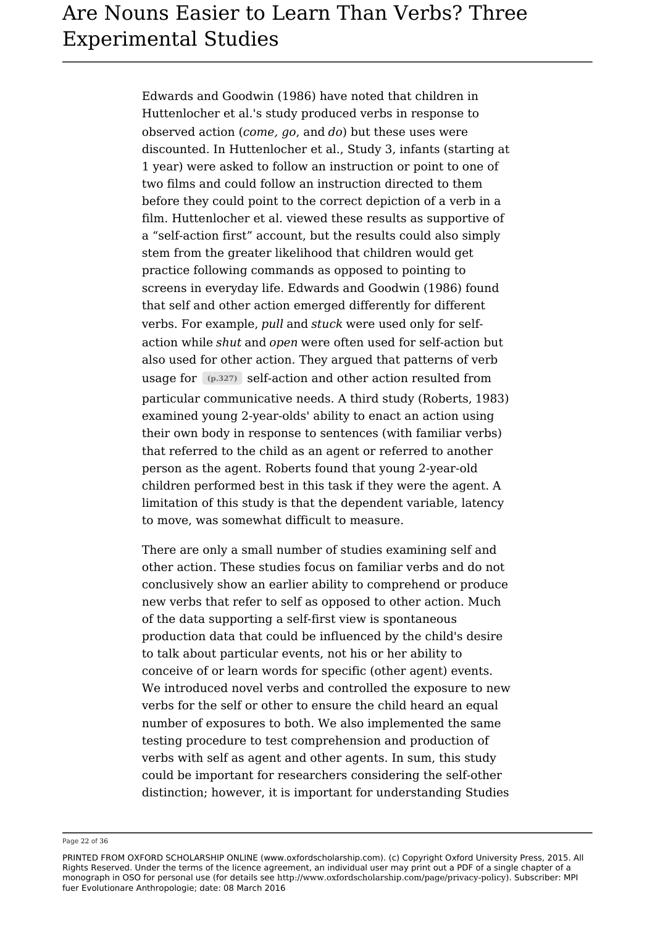Edwards and Goodwin (1986) have noted that children in Huttenlocher et al.'s study produced verbs in response to observed action (*come, go*, and *do*) but these uses were discounted. In Huttenlocher et al., Study 3, infants (starting at 1 year) were asked to follow an instruction or point to one of two films and could follow an instruction directed to them before they could point to the correct depiction of a verb in a film. Huttenlocher et al. viewed these results as supportive of a "self-action first" account, but the results could also simply stem from the greater likelihood that children would get practice following commands as opposed to pointing to screens in everyday life. Edwards and Goodwin (1986) found that self and other action emerged differently for different verbs. For example, *pull* and *stuck* were used only for selfaction while *shut* and *open* were often used for self-action but also used for other action. They argued that patterns of verb usage for **(p.327)** self-action and other action resulted from particular communicative needs. A third study (Roberts, 1983) examined young 2-year-olds' ability to enact an action using their own body in response to sentences (with familiar verbs) that referred to the child as an agent or referred to another person as the agent. Roberts found that young 2-year-old children performed best in this task if they were the agent. A limitation of this study is that the dependent variable, latency to move, was somewhat difficult to measure.

There are only a small number of studies examining self and other action. These studies focus on familiar verbs and do not conclusively show an earlier ability to comprehend or produce new verbs that refer to self as opposed to other action. Much of the data supporting a self-first view is spontaneous production data that could be influenced by the child's desire to talk about particular events, not his or her ability to conceive of or learn words for specific (other agent) events. We introduced novel verbs and controlled the exposure to new verbs for the self or other to ensure the child heard an equal number of exposures to both. We also implemented the same testing procedure to test comprehension and production of verbs with self as agent and other agents. In sum, this study could be important for researchers considering the self-other distinction; however, it is important for understanding Studies

Page 22 of 36

PRINTED FROM OXFORD SCHOLARSHIP ONLINE (www.oxfordscholarship.com). (c) Copyright Oxford University Press, 2015. All Rights Reserved. Under the terms of the licence agreement, an individual user may print out a PDF of a single chapter of a monograph in OSO for personal use (for details see http://www.oxfordscholarship.com/page/privacy-policy). Subscriber: MPI fuer Evolutionare Anthropologie; date: 08 March 2016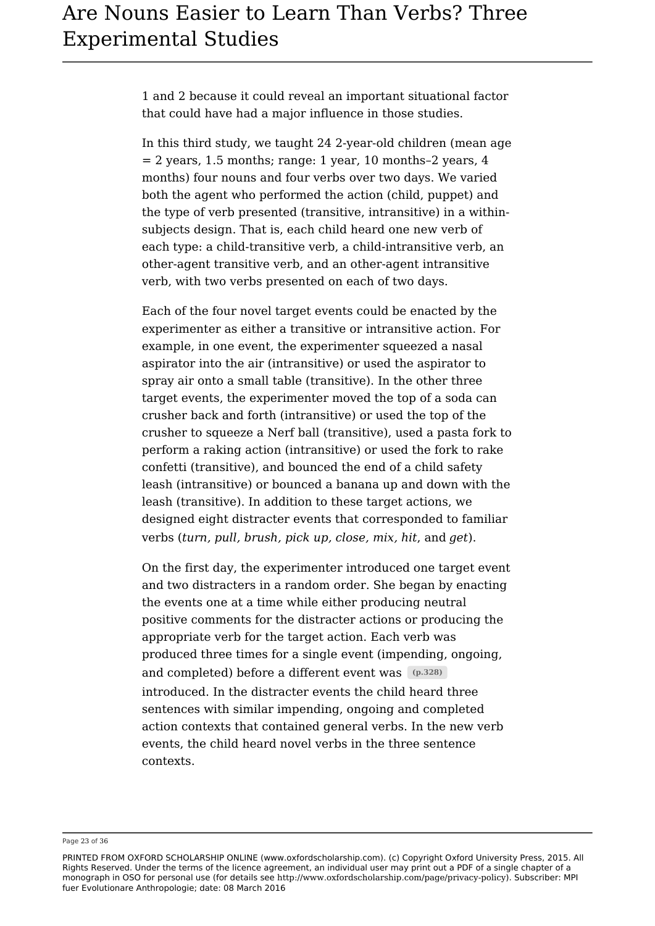1 and 2 because it could reveal an important situational factor that could have had a major influence in those studies.

In this third study, we taught 24 2-year-old children (mean age  $= 2$  years, 1.5 months; range: 1 year, 10 months–2 years, 4 months) four nouns and four verbs over two days. We varied both the agent who performed the action (child, puppet) and the type of verb presented (transitive, intransitive) in a withinsubjects design. That is, each child heard one new verb of each type: a child-transitive verb, a child-intransitive verb, an other-agent transitive verb, and an other-agent intransitive verb, with two verbs presented on each of two days.

Each of the four novel target events could be enacted by the experimenter as either a transitive or intransitive action. For example, in one event, the experimenter squeezed a nasal aspirator into the air (intransitive) or used the aspirator to spray air onto a small table (transitive). In the other three target events, the experimenter moved the top of a soda can crusher back and forth (intransitive) or used the top of the crusher to squeeze a Nerf ball (transitive), used a pasta fork to perform a raking action (intransitive) or used the fork to rake confetti (transitive), and bounced the end of a child safety leash (intransitive) or bounced a banana up and down with the leash (transitive). In addition to these target actions, we designed eight distracter events that corresponded to familiar verbs (*turn, pull, brush, pick up, close, mix, hit*, and *get*).

On the first day, the experimenter introduced one target event and two distracters in a random order. She began by enacting the events one at a time while either producing neutral positive comments for the distracter actions or producing the appropriate verb for the target action. Each verb was produced three times for a single event (impending, ongoing, and completed) before a different event was **(p.328)** introduced. In the distracter events the child heard three sentences with similar impending, ongoing and completed action contexts that contained general verbs. In the new verb events, the child heard novel verbs in the three sentence contexts.

Page 23 of 36

PRINTED FROM OXFORD SCHOLARSHIP ONLINE (www.oxfordscholarship.com). (c) Copyright Oxford University Press, 2015. All Rights Reserved. Under the terms of the licence agreement, an individual user may print out a PDF of a single chapter of a monograph in OSO for personal use (for details see http://www.oxfordscholarship.com/page/privacy-policy). Subscriber: MPI fuer Evolutionare Anthropologie; date: 08 March 2016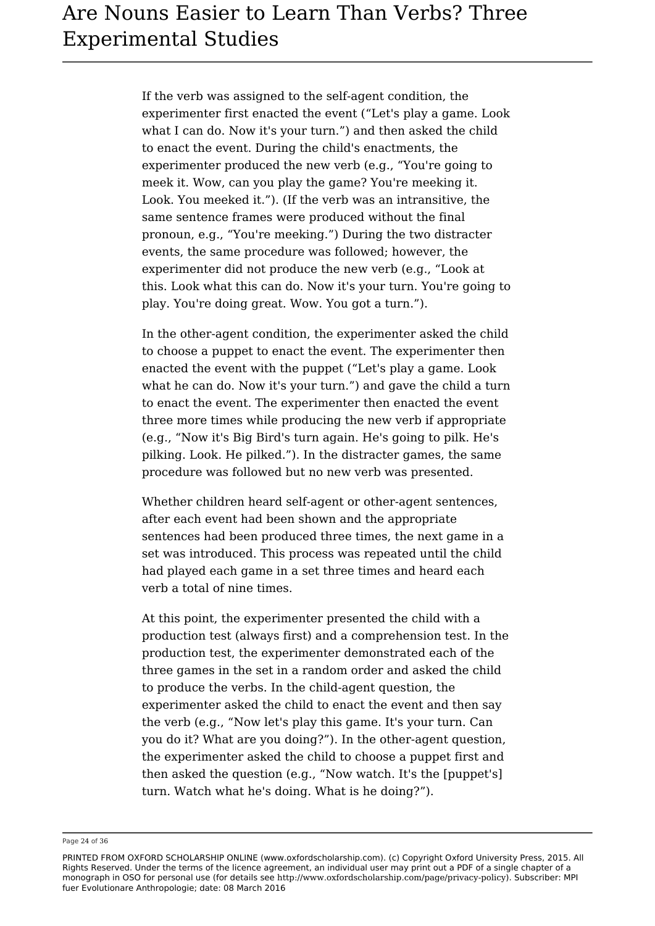If the verb was assigned to the self-agent condition, the experimenter first enacted the event ("Let's play a game. Look what I can do. Now it's your turn.") and then asked the child to enact the event. During the child's enactments, the experimenter produced the new verb (e.g., "You're going to meek it. Wow, can you play the game? You're meeking it. Look. You meeked it."). (If the verb was an intransitive, the same sentence frames were produced without the final pronoun, e.g., "You're meeking.") During the two distracter events, the same procedure was followed; however, the experimenter did not produce the new verb (e.g., "Look at this. Look what this can do. Now it's your turn. You're going to play. You're doing great. Wow. You got a turn.").

In the other-agent condition, the experimenter asked the child to choose a puppet to enact the event. The experimenter then enacted the event with the puppet ("Let's play a game. Look what he can do. Now it's your turn.") and gave the child a turn to enact the event. The experimenter then enacted the event three more times while producing the new verb if appropriate (e.g., "Now it's Big Bird's turn again. He's going to pilk. He's pilking. Look. He pilked."). In the distracter games, the same procedure was followed but no new verb was presented.

Whether children heard self-agent or other-agent sentences, after each event had been shown and the appropriate sentences had been produced three times, the next game in a set was introduced. This process was repeated until the child had played each game in a set three times and heard each verb a total of nine times.

At this point, the experimenter presented the child with a production test (always first) and a comprehension test. In the production test, the experimenter demonstrated each of the three games in the set in a random order and asked the child to produce the verbs. In the child-agent question, the experimenter asked the child to enact the event and then say the verb (e.g., "Now let's play this game. It's your turn. Can you do it? What are you doing?"). In the other-agent question, the experimenter asked the child to choose a puppet first and then asked the question (e.g., "Now watch. It's the [puppet's] turn. Watch what he's doing. What is he doing?").

Page 24 of 36

PRINTED FROM OXFORD SCHOLARSHIP ONLINE (www.oxfordscholarship.com). (c) Copyright Oxford University Press, 2015. All Rights Reserved. Under the terms of the licence agreement, an individual user may print out a PDF of a single chapter of a monograph in OSO for personal use (for details see http://www.oxfordscholarship.com/page/privacy-policy). Subscriber: MPI fuer Evolutionare Anthropologie; date: 08 March 2016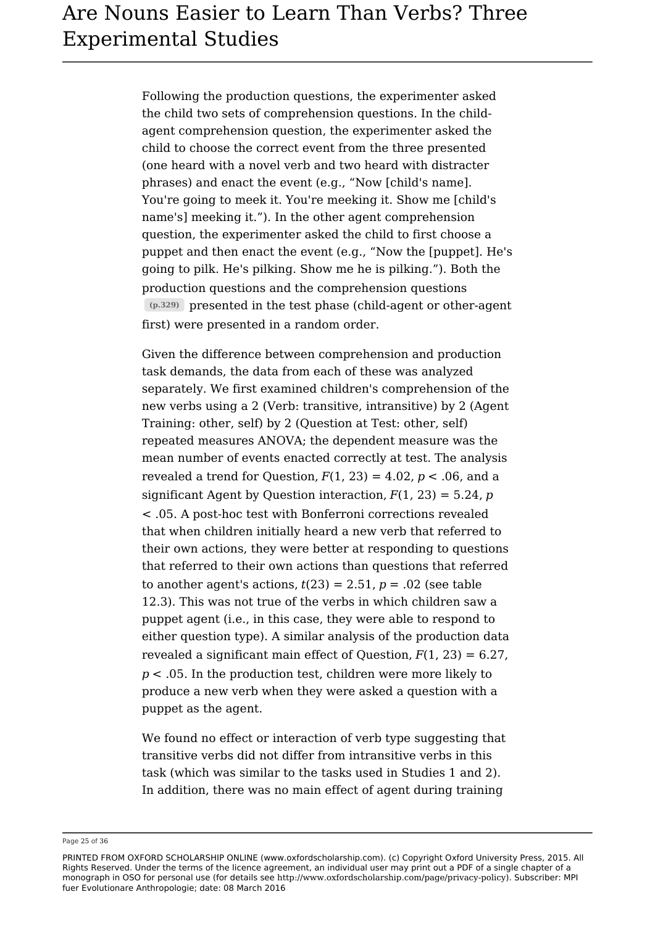Following the production questions, the experimenter asked the child two sets of comprehension questions. In the childagent comprehension question, the experimenter asked the child to choose the correct event from the three presented (one heard with a novel verb and two heard with distracter phrases) and enact the event (e.g., "Now [child's name]. You're going to meek it. You're meeking it. Show me [child's name's] meeking it."). In the other agent comprehension question, the experimenter asked the child to first choose a puppet and then enact the event (e.g., "Now the [puppet]. He's going to pilk. He's pilking. Show me he is pilking."). Both the production questions and the comprehension questions **(p.329)** presented in the test phase (child-agent or other-agent first) were presented in a random order.

Given the difference between comprehension and production task demands, the data from each of these was analyzed separately. We first examined children's comprehension of the new verbs using a 2 (Verb: transitive, intransitive) by 2 (Agent Training: other, self) by 2 (Question at Test: other, self) repeated measures ANOVA; the dependent measure was the mean number of events enacted correctly at test. The analysis revealed a trend for Question,  $F(1, 23) = 4.02$ ,  $p < .06$ , and a significant Agent by Question interaction,  $F(1, 23) = 5.24$ , *p* < .05. A post-hoc test with Bonferroni corrections revealed that when children initially heard a new verb that referred to their own actions, they were better at responding to questions that referred to their own actions than questions that referred to another agent's actions,  $t(23) = 2.51$ ,  $p = .02$  (see table 12.3). This was not true of the verbs in which children saw a puppet agent (i.e., in this case, they were able to respond to either question type). A similar analysis of the production data revealed a significant main effect of Question,  $F(1, 23) = 6.27$ , *p* < .05. In the production test, children were more likely to produce a new verb when they were asked a question with a puppet as the agent.

We found no effect or interaction of verb type suggesting that transitive verbs did not differ from intransitive verbs in this task (which was similar to the tasks used in Studies 1 and 2). In addition, there was no main effect of agent during training

Page 25 of 36

PRINTED FROM OXFORD SCHOLARSHIP ONLINE (www.oxfordscholarship.com). (c) Copyright Oxford University Press, 2015. All Rights Reserved. Under the terms of the licence agreement, an individual user may print out a PDF of a single chapter of a monograph in OSO for personal use (for details see http://www.oxfordscholarship.com/page/privacy-policy). Subscriber: MPI fuer Evolutionare Anthropologie; date: 08 March 2016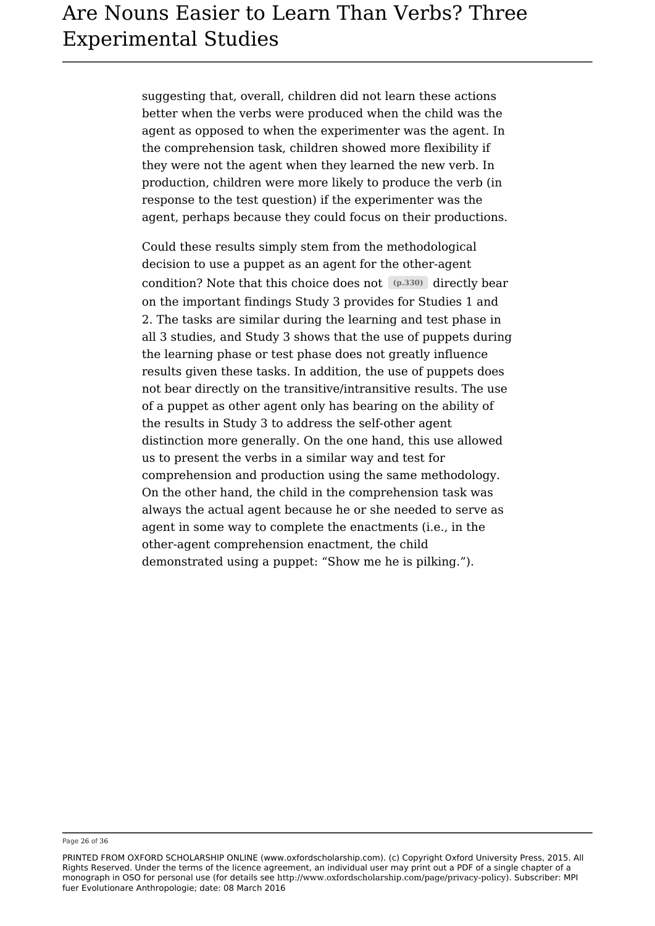suggesting that, overall, children did not learn these actions better when the verbs were produced when the child was the agent as opposed to when the experimenter was the agent. In the comprehension task, children showed more flexibility if they were not the agent when they learned the new verb. In production, children were more likely to produce the verb (in response to the test question) if the experimenter was the agent, perhaps because they could focus on their productions.

Could these results simply stem from the methodological decision to use a puppet as an agent for the other-agent condition? Note that this choice does not **(p.330)** directly bear on the important findings Study 3 provides for Studies 1 and 2. The tasks are similar during the learning and test phase in all 3 studies, and Study 3 shows that the use of puppets during the learning phase or test phase does not greatly influence results given these tasks. In addition, the use of puppets does not bear directly on the transitive/intransitive results. The use of a puppet as other agent only has bearing on the ability of the results in Study 3 to address the self-other agent distinction more generally. On the one hand, this use allowed us to present the verbs in a similar way and test for comprehension and production using the same methodology. On the other hand, the child in the comprehension task was always the actual agent because he or she needed to serve as agent in some way to complete the enactments (i.e., in the other-agent comprehension enactment, the child demonstrated using a puppet: "Show me he is pilking.").

Page 26 of 36

PRINTED FROM OXFORD SCHOLARSHIP ONLINE (www.oxfordscholarship.com). (c) Copyright Oxford University Press, 2015. All Rights Reserved. Under the terms of the licence agreement, an individual user may print out a PDF of a single chapter of a monograph in OSO for personal use (for details see http://www.oxfordscholarship.com/page/privacy-policy). Subscriber: MPI fuer Evolutionare Anthropologie; date: 08 March 2016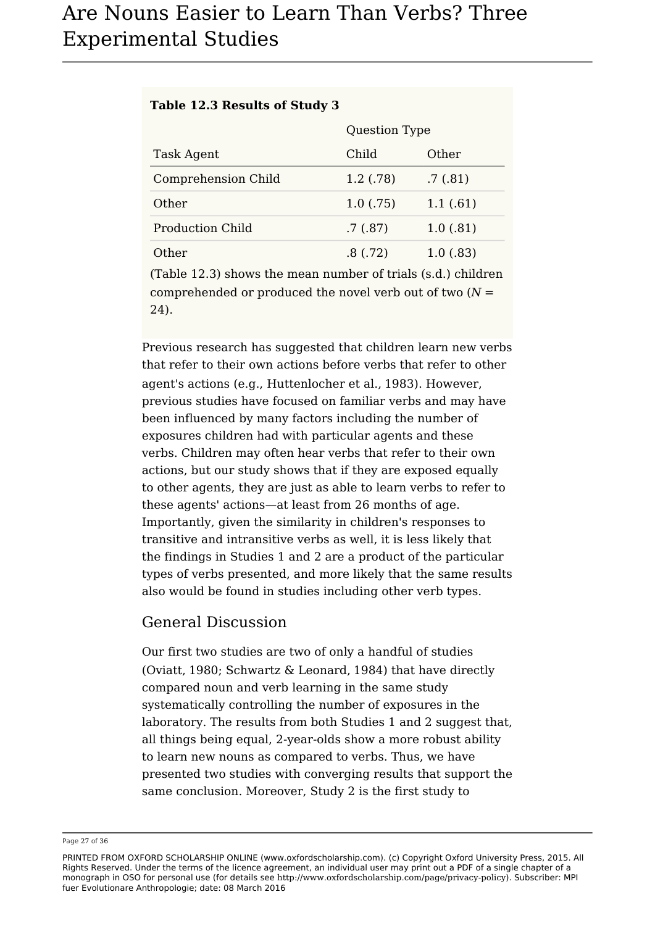| Table 12.3 Results of Study 3 |  |
|-------------------------------|--|
|-------------------------------|--|

|                            | <b>Question Type</b> |           |
|----------------------------|----------------------|-----------|
| Task Agent                 | Child                | Other     |
| <b>Comprehension Child</b> | $1.2$ (.78)          | .7(0.81)  |
| Other                      | $1.0$ (.75)          | 1.1(61)   |
| <b>Production Child</b>    | .7(0.87)             | 1.0(0.81) |
| Other                      | .8(.72)              | 1.0(0.83) |

(Table 12.3) shows the mean number of trials (s.d.) children comprehended or produced the novel verb out of two (*N* = 24).

Previous research has suggested that children learn new verbs that refer to their own actions before verbs that refer to other agent's actions (e.g., Huttenlocher et al., 1983). However, previous studies have focused on familiar verbs and may have been influenced by many factors including the number of exposures children had with particular agents and these verbs. Children may often hear verbs that refer to their own actions, but our study shows that if they are exposed equally to other agents, they are just as able to learn verbs to refer to these agents' actions—at least from 26 months of age. Importantly, given the similarity in children's responses to transitive and intransitive verbs as well, it is less likely that the findings in Studies 1 and 2 are a product of the particular types of verbs presented, and more likely that the same results also would be found in studies including other verb types.

### General Discussion

Our first two studies are two of only a handful of studies (Oviatt, 1980; Schwartz & Leonard, 1984) that have directly compared noun and verb learning in the same study systematically controlling the number of exposures in the laboratory. The results from both Studies 1 and 2 suggest that, all things being equal, 2-year-olds show a more robust ability to learn new nouns as compared to verbs. Thus, we have presented two studies with converging results that support the same conclusion. Moreover, Study 2 is the first study to

Page 27 of 36

PRINTED FROM OXFORD SCHOLARSHIP ONLINE (www.oxfordscholarship.com). (c) Copyright Oxford University Press, 2015. All Rights Reserved. Under the terms of the licence agreement, an individual user may print out a PDF of a single chapter of a monograph in OSO for personal use (for details see http://www.oxfordscholarship.com/page/privacy-policy). Subscriber: MPI fuer Evolutionare Anthropologie; date: 08 March 2016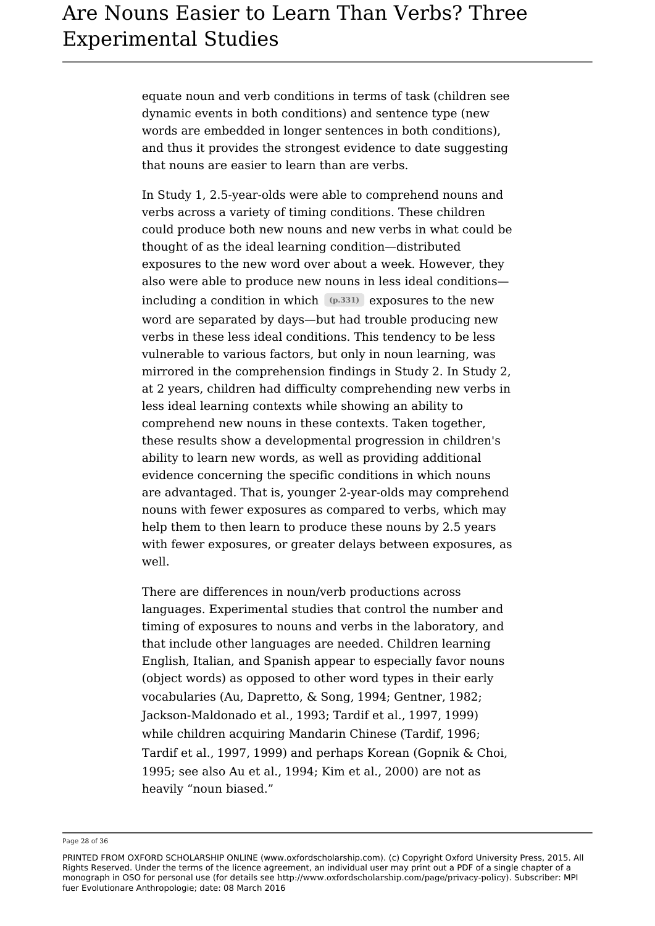equate noun and verb conditions in terms of task (children see dynamic events in both conditions) and sentence type (new words are embedded in longer sentences in both conditions), and thus it provides the strongest evidence to date suggesting that nouns are easier to learn than are verbs.

In Study 1, 2.5-year-olds were able to comprehend nouns and verbs across a variety of timing conditions. These children could produce both new nouns and new verbs in what could be thought of as the ideal learning condition—distributed exposures to the new word over about a week. However, they also were able to produce new nouns in less ideal conditions including a condition in which **(p.331)** exposures to the new word are separated by days—but had trouble producing new verbs in these less ideal conditions. This tendency to be less vulnerable to various factors, but only in noun learning, was mirrored in the comprehension findings in Study 2. In Study 2, at 2 years, children had difficulty comprehending new verbs in less ideal learning contexts while showing an ability to comprehend new nouns in these contexts. Taken together, these results show a developmental progression in children's ability to learn new words, as well as providing additional evidence concerning the specific conditions in which nouns are advantaged. That is, younger 2-year-olds may comprehend nouns with fewer exposures as compared to verbs, which may help them to then learn to produce these nouns by 2.5 years with fewer exposures, or greater delays between exposures, as well.

There are differences in noun/verb productions across languages. Experimental studies that control the number and timing of exposures to nouns and verbs in the laboratory, and that include other languages are needed. Children learning English, Italian, and Spanish appear to especially favor nouns (object words) as opposed to other word types in their early vocabularies (Au, Dapretto, & Song, 1994; Gentner, 1982; Jackson-Maldonado et al., 1993; Tardif et al., 1997, 1999) while children acquiring Mandarin Chinese (Tardif, 1996; Tardif et al., 1997, 1999) and perhaps Korean (Gopnik & Choi, 1995; see also Au et al., 1994; Kim et al., 2000) are not as heavily "noun biased."

Page 28 of 36

PRINTED FROM OXFORD SCHOLARSHIP ONLINE (www.oxfordscholarship.com). (c) Copyright Oxford University Press, 2015. All Rights Reserved. Under the terms of the licence agreement, an individual user may print out a PDF of a single chapter of a monograph in OSO for personal use (for details see http://www.oxfordscholarship.com/page/privacy-policy). Subscriber: MPI fuer Evolutionare Anthropologie; date: 08 March 2016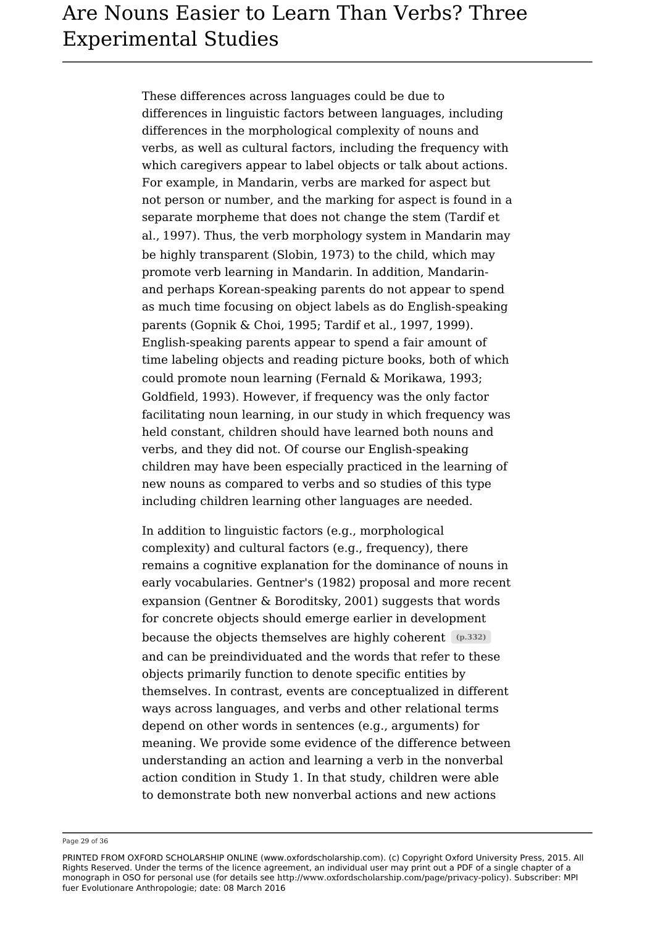These differences across languages could be due to differences in linguistic factors between languages, including differences in the morphological complexity of nouns and verbs, as well as cultural factors, including the frequency with which caregivers appear to label objects or talk about actions. For example, in Mandarin, verbs are marked for aspect but not person or number, and the marking for aspect is found in a separate morpheme that does not change the stem (Tardif et al., 1997). Thus, the verb morphology system in Mandarin may be highly transparent (Slobin, 1973) to the child, which may promote verb learning in Mandarin. In addition, Mandarinand perhaps Korean-speaking parents do not appear to spend as much time focusing on object labels as do English-speaking parents (Gopnik & Choi, 1995; Tardif et al., 1997, 1999). English-speaking parents appear to spend a fair amount of time labeling objects and reading picture books, both of which could promote noun learning (Fernald & Morikawa, 1993; Goldfield, 1993). However, if frequency was the only factor facilitating noun learning, in our study in which frequency was held constant, children should have learned both nouns and verbs, and they did not. Of course our English-speaking children may have been especially practiced in the learning of new nouns as compared to verbs and so studies of this type including children learning other languages are needed.

In addition to linguistic factors (e.g., morphological complexity) and cultural factors (e.g., frequency), there remains a cognitive explanation for the dominance of nouns in early vocabularies. Gentner's (1982) proposal and more recent expansion (Gentner & Boroditsky, 2001) suggests that words for concrete objects should emerge earlier in development because the objects themselves are highly coherent **(p.332)** and can be preindividuated and the words that refer to these objects primarily function to denote specific entities by themselves. In contrast, events are conceptualized in different ways across languages, and verbs and other relational terms depend on other words in sentences (e.g., arguments) for meaning. We provide some evidence of the difference between understanding an action and learning a verb in the nonverbal action condition in Study 1. In that study, children were able to demonstrate both new nonverbal actions and new actions

Page 29 of 36

PRINTED FROM OXFORD SCHOLARSHIP ONLINE (www.oxfordscholarship.com). (c) Copyright Oxford University Press, 2015. All Rights Reserved. Under the terms of the licence agreement, an individual user may print out a PDF of a single chapter of a monograph in OSO for personal use (for details see http://www.oxfordscholarship.com/page/privacy-policy). Subscriber: MPI fuer Evolutionare Anthropologie; date: 08 March 2016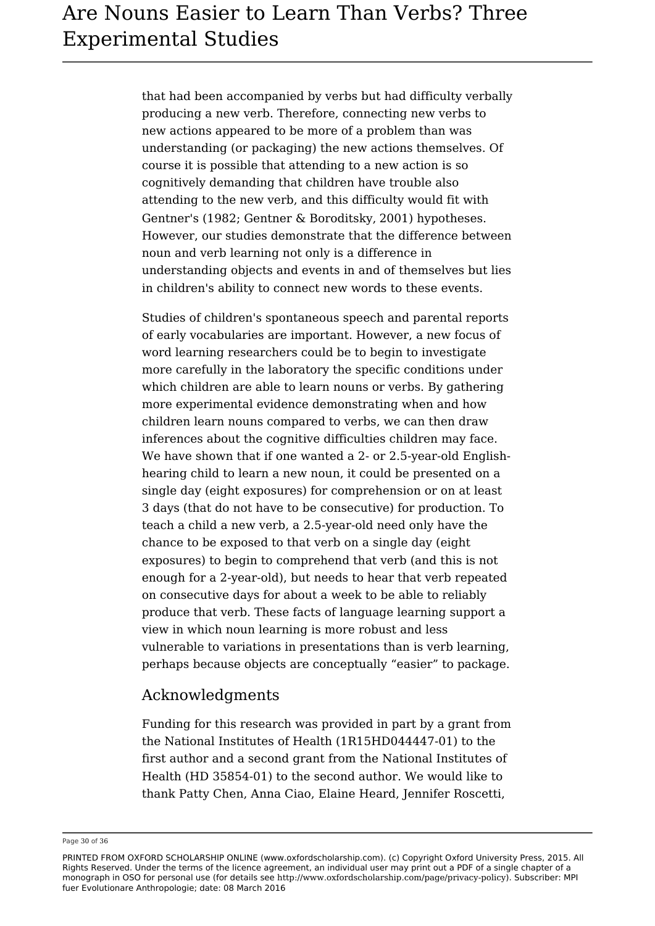that had been accompanied by verbs but had difficulty verbally producing a new verb. Therefore, connecting new verbs to new actions appeared to be more of a problem than was understanding (or packaging) the new actions themselves. Of course it is possible that attending to a new action is so cognitively demanding that children have trouble also attending to the new verb, and this difficulty would fit with Gentner's (1982; Gentner & Boroditsky, 2001) hypotheses. However, our studies demonstrate that the difference between noun and verb learning not only is a difference in understanding objects and events in and of themselves but lies in children's ability to connect new words to these events.

Studies of children's spontaneous speech and parental reports of early vocabularies are important. However, a new focus of word learning researchers could be to begin to investigate more carefully in the laboratory the specific conditions under which children are able to learn nouns or verbs. By gathering more experimental evidence demonstrating when and how children learn nouns compared to verbs, we can then draw inferences about the cognitive difficulties children may face. We have shown that if one wanted a 2- or 2.5-year-old Englishhearing child to learn a new noun, it could be presented on a single day (eight exposures) for comprehension or on at least 3 days (that do not have to be consecutive) for production. To teach a child a new verb, a 2.5-year-old need only have the chance to be exposed to that verb on a single day (eight exposures) to begin to comprehend that verb (and this is not enough for a 2-year-old), but needs to hear that verb repeated on consecutive days for about a week to be able to reliably produce that verb. These facts of language learning support a view in which noun learning is more robust and less vulnerable to variations in presentations than is verb learning, perhaps because objects are conceptually "easier" to package.

### Acknowledgments

Funding for this research was provided in part by a grant from the National Institutes of Health (1R15HD044447-01) to the first author and a second grant from the National Institutes of Health (HD 35854-01) to the second author. We would like to thank Patty Chen, Anna Ciao, Elaine Heard, Jennifer Roscetti,

Page 30 of 36

PRINTED FROM OXFORD SCHOLARSHIP ONLINE (www.oxfordscholarship.com). (c) Copyright Oxford University Press, 2015. All Rights Reserved. Under the terms of the licence agreement, an individual user may print out a PDF of a single chapter of a monograph in OSO for personal use (for details see http://www.oxfordscholarship.com/page/privacy-policy). Subscriber: MPI fuer Evolutionare Anthropologie; date: 08 March 2016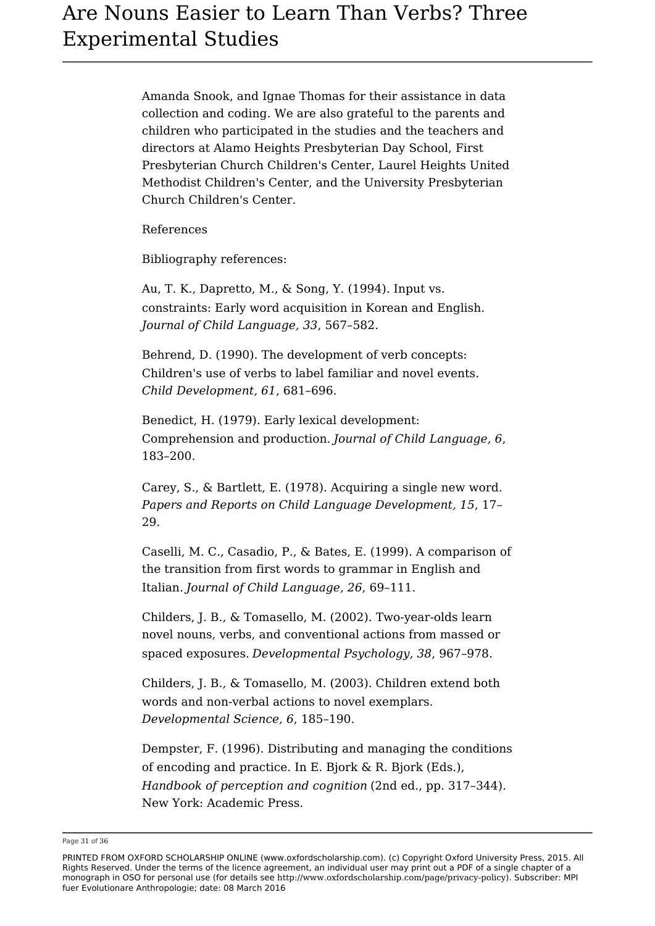Amanda Snook, and Ignae Thomas for their assistance in data collection and coding. We are also grateful to the parents and children who participated in the studies and the teachers and directors at Alamo Heights Presbyterian Day School, First Presbyterian Church Children's Center, Laurel Heights United Methodist Children's Center, and the University Presbyterian Church Children's Center.

References

Bibliography references:

Au, T. K., Dapretto, M., & Song, Y. (1994). Input vs. constraints: Early word acquisition in Korean and English. *Journal of Child Language, 33*, 567–582.

Behrend, D. (1990). The development of verb concepts: Children's use of verbs to label familiar and novel events. *Child Development, 61*, 681–696.

Benedict, H. (1979). Early lexical development: Comprehension and production. *Journal of Child Language, 6*, 183–200.

Carey, S., & Bartlett, E. (1978). Acquiring a single new word. *Papers and Reports on Child Language Development, 15*, 17– 29.

Caselli, M. C., Casadio, P., & Bates, E. (1999). A comparison of the transition from first words to grammar in English and Italian. *Journal of Child Language, 26*, 69–111.

Childers, J. B., & Tomasello, M. (2002). Two-year-olds learn novel nouns, verbs, and conventional actions from massed or spaced exposures. *Developmental Psychology, 38*, 967–978.

Childers, J. B., & Tomasello, M. (2003). Children extend both words and non-verbal actions to novel exemplars. *Developmental Science, 6*, 185–190.

Dempster, F. (1996). Distributing and managing the conditions of encoding and practice. In E. Bjork & R. Bjork (Eds.), *Handbook of perception and cognition* (2nd ed., pp. 317–344). New York: Academic Press.

Page 31 of 36

PRINTED FROM OXFORD SCHOLARSHIP ONLINE (www.oxfordscholarship.com). (c) Copyright Oxford University Press, 2015. All Rights Reserved. Under the terms of the licence agreement, an individual user may print out a PDF of a single chapter of a monograph in OSO for personal use (for details see http://www.oxfordscholarship.com/page/privacy-policy). Subscriber: MPI fuer Evolutionare Anthropologie; date: 08 March 2016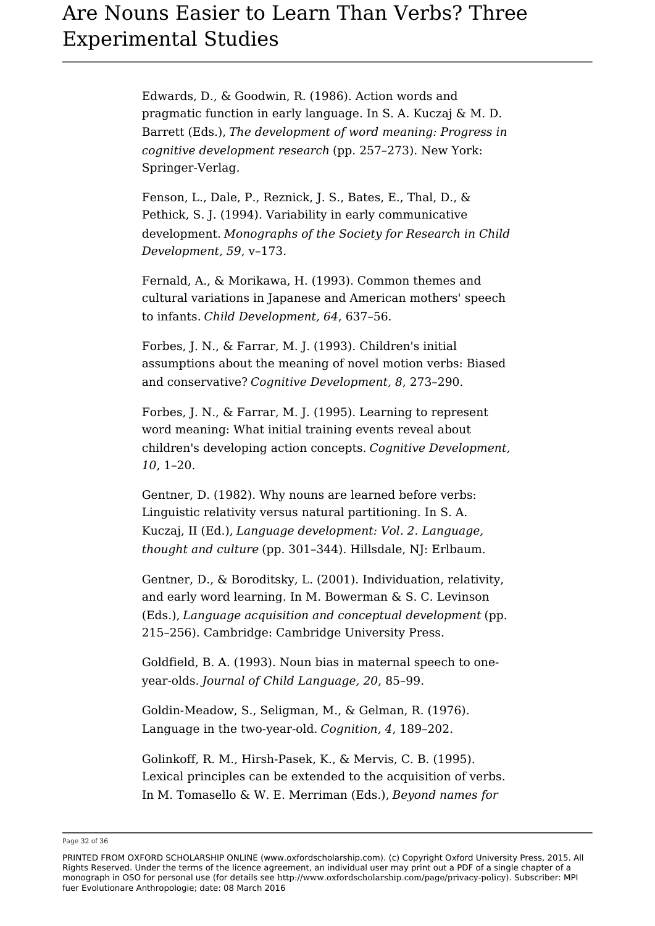Edwards, D., & Goodwin, R. (1986). Action words and pragmatic function in early language. In S. A. Kuczaj & M. D. Barrett (Eds.), *The development of word meaning: Progress in cognitive development research* (pp. 257–273). New York: Springer-Verlag.

Fenson, L., Dale, P., Reznick, J. S., Bates, E., Thal, D., & Pethick, S. J. (1994). Variability in early communicative development. *Monographs of the Society for Research in Child Development, 59*, v–173.

Fernald, A., & Morikawa, H. (1993). Common themes and cultural variations in Japanese and American mothers' speech to infants. *Child Development, 64*, 637–56.

Forbes, J. N., & Farrar, M. J. (1993). Children's initial assumptions about the meaning of novel motion verbs: Biased and conservative? *Cognitive Development, 8*, 273–290.

Forbes, J. N., & Farrar, M. J. (1995). Learning to represent word meaning: What initial training events reveal about children's developing action concepts. *Cognitive Development, 10*, 1–20.

Gentner, D. (1982). Why nouns are learned before verbs: Linguistic relativity versus natural partitioning. In S. A. Kuczaj, II (Ed.), *Language development: Vol. 2. Language, thought and culture* (pp. 301–344). Hillsdale, NJ: Erlbaum.

Gentner, D., & Boroditsky, L. (2001). Individuation, relativity, and early word learning. In M. Bowerman & S. C. Levinson (Eds.), *Language acquisition and conceptual development* (pp. 215–256). Cambridge: Cambridge University Press.

Goldfield, B. A. (1993). Noun bias in maternal speech to oneyear-olds. *Journal of Child Language, 20*, 85–99.

Goldin-Meadow, S., Seligman, M., & Gelman, R. (1976). Language in the two-year-old. *Cognition, 4*, 189–202.

Golinkoff, R. M., Hirsh-Pasek, K., & Mervis, C. B. (1995). Lexical principles can be extended to the acquisition of verbs. In M. Tomasello & W. E. Merriman (Eds.), *Beyond names for*

Page 32 of 36

PRINTED FROM OXFORD SCHOLARSHIP ONLINE (www.oxfordscholarship.com). (c) Copyright Oxford University Press, 2015. All Rights Reserved. Under the terms of the licence agreement, an individual user may print out a PDF of a single chapter of a monograph in OSO for personal use (for details see http://www.oxfordscholarship.com/page/privacy-policy). Subscriber: MPI fuer Evolutionare Anthropologie; date: 08 March 2016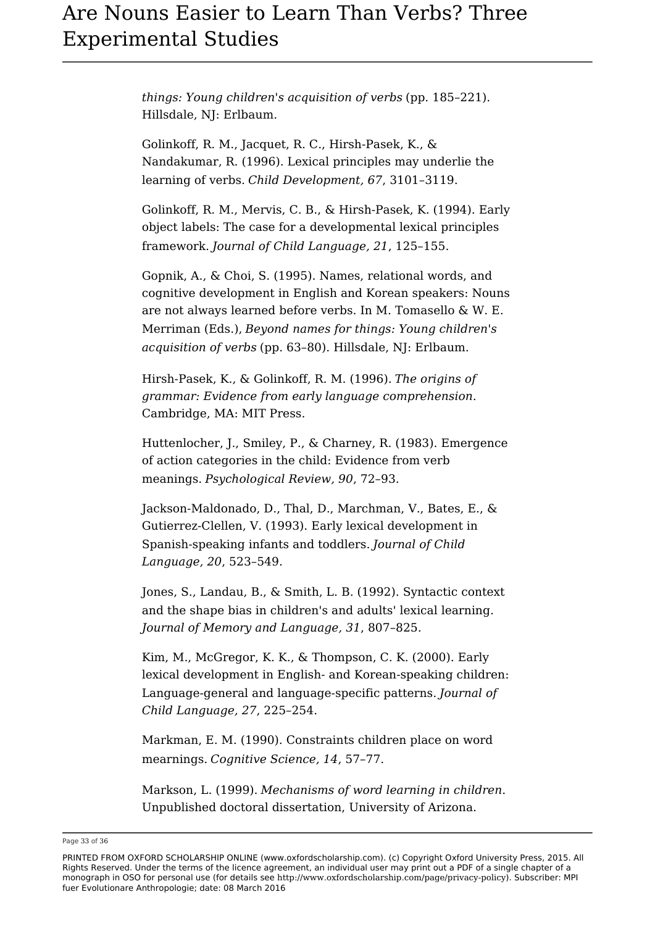*things: Young children's acquisition of verbs* (pp. 185–221). Hillsdale, NJ: Erlbaum.

Golinkoff, R. M., Jacquet, R. C., Hirsh-Pasek, K., & Nandakumar, R. (1996). Lexical principles may underlie the learning of verbs. *Child Development, 67*, 3101–3119.

Golinkoff, R. M., Mervis, C. B., & Hirsh-Pasek, K. (1994). Early object labels: The case for a developmental lexical principles framework. *Journal of Child Language, 21*, 125–155.

Gopnik, A., & Choi, S. (1995). Names, relational words, and cognitive development in English and Korean speakers: Nouns are not always learned before verbs. In M. Tomasello & W. E. Merriman (Eds.), *Beyond names for things: Young children's acquisition of verbs* (pp. 63–80). Hillsdale, NJ: Erlbaum.

Hirsh-Pasek, K., & Golinkoff, R. M. (1996). *The origins of grammar: Evidence from early language comprehension*. Cambridge, MA: MIT Press.

Huttenlocher, J., Smiley, P., & Charney, R. (1983). Emergence of action categories in the child: Evidence from verb meanings. *Psychological Review, 90*, 72–93.

Jackson-Maldonado, D., Thal, D., Marchman, V., Bates, E., & Gutierrez-Clellen, V. (1993). Early lexical development in Spanish-speaking infants and toddlers. *Journal of Child Language, 20*, 523–549.

Jones, S., Landau, B., & Smith, L. B. (1992). Syntactic context and the shape bias in children's and adults' lexical learning. *Journal of Memory and Language, 31*, 807–825.

Kim, M., McGregor, K. K., & Thompson, C. K. (2000). Early lexical development in English- and Korean-speaking children: Language-general and language-specific patterns. *Journal of Child Language, 27*, 225–254.

Markman, E. M. (1990). Constraints children place on word mearnings. *Cognitive Science, 14*, 57–77.

Markson, L. (1999). *Mechanisms of word learning in children*. Unpublished doctoral dissertation, University of Arizona.

Page 33 of 36

PRINTED FROM OXFORD SCHOLARSHIP ONLINE (www.oxfordscholarship.com). (c) Copyright Oxford University Press, 2015. All Rights Reserved. Under the terms of the licence agreement, an individual user may print out a PDF of a single chapter of a monograph in OSO for personal use (for details see http://www.oxfordscholarship.com/page/privacy-policy). Subscriber: MPI fuer Evolutionare Anthropologie; date: 08 March 2016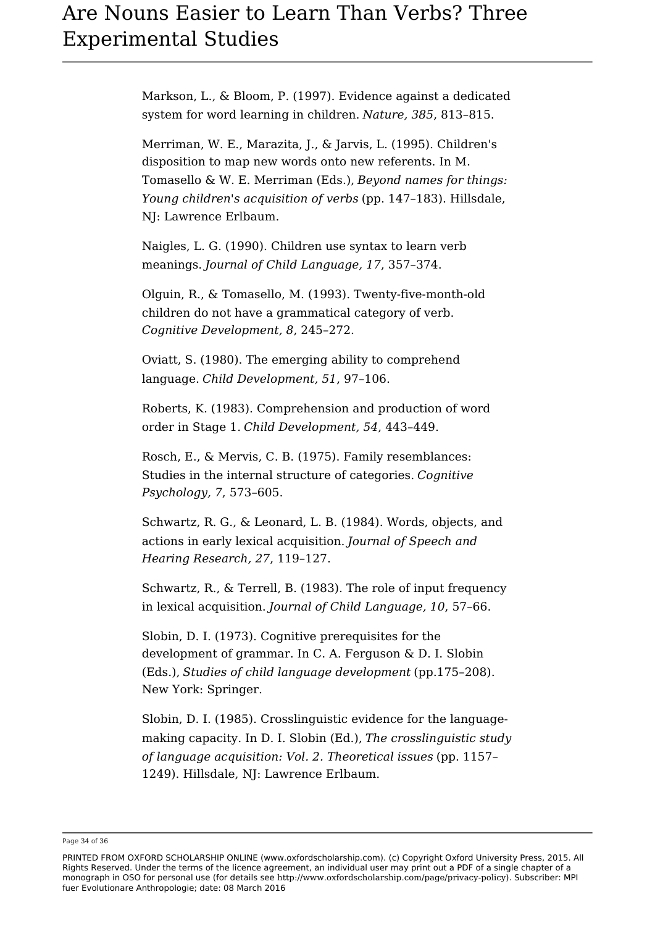Markson, L., & Bloom, P. (1997). Evidence against a dedicated system for word learning in children. *Nature, 385*, 813–815.

Merriman, W. E., Marazita, J., & Jarvis, L. (1995). Children's disposition to map new words onto new referents. In M. Tomasello & W. E. Merriman (Eds.), *Beyond names for things: Young children's acquisition of verbs* (pp. 147–183). Hillsdale, NJ: Lawrence Erlbaum.

Naigles, L. G. (1990). Children use syntax to learn verb meanings. *Journal of Child Language, 17*, 357–374.

Olguin, R., & Tomasello, M. (1993). Twenty-five-month-old children do not have a grammatical category of verb. *Cognitive Development, 8*, 245–272.

Oviatt, S. (1980). The emerging ability to comprehend language. *Child Development, 51*, 97–106.

Roberts, K. (1983). Comprehension and production of word order in Stage 1. *Child Development, 54*, 443–449.

Rosch, E., & Mervis, C. B. (1975). Family resemblances: Studies in the internal structure of categories. *Cognitive Psychology, 7*, 573–605.

Schwartz, R. G., & Leonard, L. B. (1984). Words, objects, and actions in early lexical acquisition. *Journal of Speech and Hearing Research, 27*, 119–127.

Schwartz, R., & Terrell, B. (1983). The role of input frequency in lexical acquisition. *Journal of Child Language, 10*, 57–66.

Slobin, D. I. (1973). Cognitive prerequisites for the development of grammar. In C. A. Ferguson & D. I. Slobin (Eds.), *Studies of child language development* (pp.175–208). New York: Springer.

Slobin, D. I. (1985). Crosslinguistic evidence for the languagemaking capacity. In D. I. Slobin (Ed.), *The crosslinguistic study of language acquisition: Vol. 2. Theoretical issues* (pp. 1157– 1249). Hillsdale, NJ: Lawrence Erlbaum.

Page 34 of 36

PRINTED FROM OXFORD SCHOLARSHIP ONLINE (www.oxfordscholarship.com). (c) Copyright Oxford University Press, 2015. All Rights Reserved. Under the terms of the licence agreement, an individual user may print out a PDF of a single chapter of a monograph in OSO for personal use (for details see http://www.oxfordscholarship.com/page/privacy-policy). Subscriber: MPI fuer Evolutionare Anthropologie; date: 08 March 2016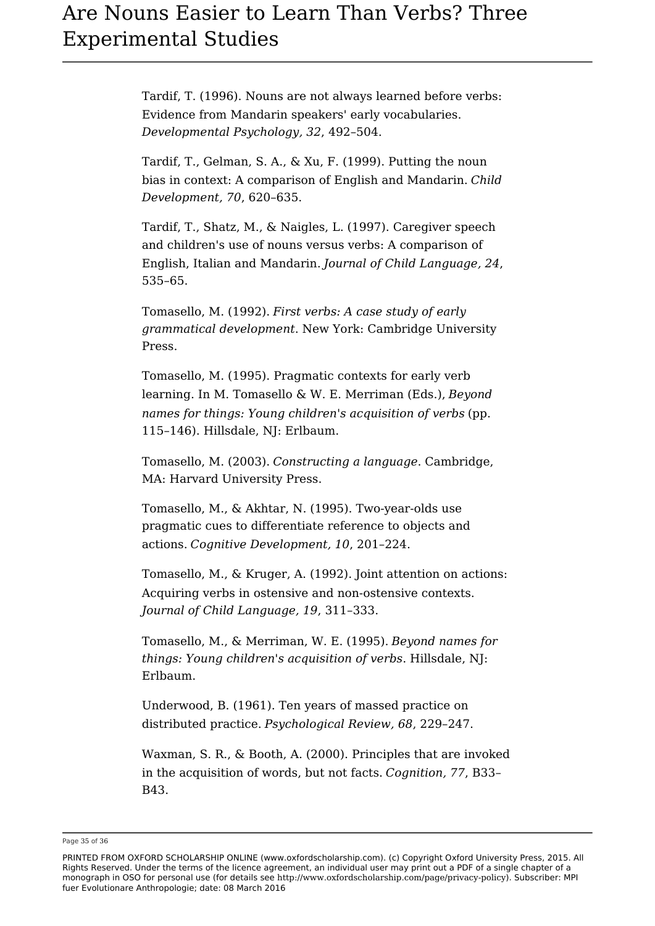Tardif, T. (1996). Nouns are not always learned before verbs: Evidence from Mandarin speakers' early vocabularies. *Developmental Psychology, 32*, 492–504.

Tardif, T., Gelman, S. A., & Xu, F. (1999). Putting the noun bias in context: A comparison of English and Mandarin. *Child Development, 70*, 620–635.

Tardif, T., Shatz, M., & Naigles, L. (1997). Caregiver speech and children's use of nouns versus verbs: A comparison of English, Italian and Mandarin. *Journal of Child Language, 24*, 535–65.

Tomasello, M. (1992). *First verbs: A case study of early grammatical development*. New York: Cambridge University Press.

Tomasello, M. (1995). Pragmatic contexts for early verb learning. In M. Tomasello & W. E. Merriman (Eds.), *Beyond names for things: Young children's acquisition of verbs* (pp. 115–146). Hillsdale, NJ: Erlbaum.

Tomasello, M. (2003). *Constructing a language*. Cambridge, MA: Harvard University Press.

Tomasello, M., & Akhtar, N. (1995). Two-year-olds use pragmatic cues to differentiate reference to objects and actions. *Cognitive Development, 10*, 201–224.

Tomasello, M., & Kruger, A. (1992). Joint attention on actions: Acquiring verbs in ostensive and non-ostensive contexts. *Journal of Child Language, 19*, 311–333.

Tomasello, M., & Merriman, W. E. (1995). *Beyond names for things: Young children's acquisition of verbs*. Hillsdale, NJ: Erlbaum.

Underwood, B. (1961). Ten years of massed practice on distributed practice. *Psychological Review, 68*, 229–247.

Waxman, S. R., & Booth, A. (2000). Principles that are invoked in the acquisition of words, but not facts. *Cognition, 77*, B33– B43.

Page 35 of 36

PRINTED FROM OXFORD SCHOLARSHIP ONLINE (www.oxfordscholarship.com). (c) Copyright Oxford University Press, 2015. All Rights Reserved. Under the terms of the licence agreement, an individual user may print out a PDF of a single chapter of a monograph in OSO for personal use (for details see http://www.oxfordscholarship.com/page/privacy-policy). Subscriber: MPI fuer Evolutionare Anthropologie; date: 08 March 2016